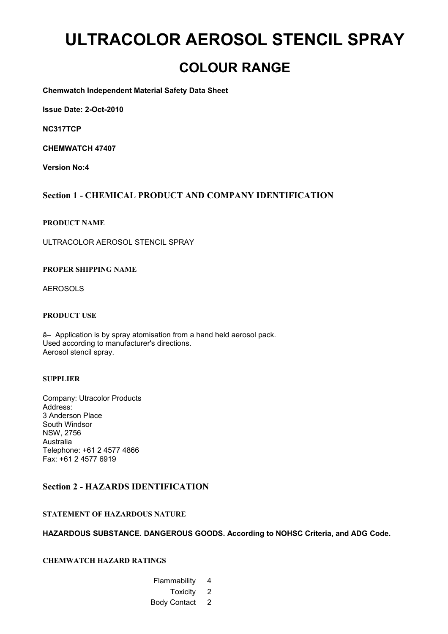# **ULTRACOLOR AEROSOL STENCIL SPRAY**

# **COLOUR RANGE**

**Chemwatch Independent Material Safety Data Sheet**

**Issue Date: 2-Oct-2010**

**NC317TCP**

**CHEMWATCH 47407**

**Version No:4**

# **Section 1 - CHEMICAL PRODUCT AND COMPANY IDENTIFICATION**

#### **PRODUCT NAME**

ULTRACOLOR AEROSOL STENCIL SPRAY

#### **PROPER SHIPPING NAME**

AEROSOLS

#### **PRODUCT USE**

â– Application is by spray atomisation from a hand held aerosol pack. Used according to manufacturer's directions. Aerosol stencil spray.

#### **SUPPLIER**

Company: Utracolor Products Address: 3 Anderson Place South Windsor NSW, 2756 Australia Telephone: +61 2 4577 4866 Fax: +61 2 4577 6919

#### **Section 2 - HAZARDS IDENTIFICATION**

#### **STATEMENT OF HAZARDOUS NATURE**

#### **HAZARDOUS SUBSTANCE. DANGEROUS GOODS. According to NOHSC Criteria, and ADG Code.**

#### **CHEMWATCH HAZARD RATINGS**

- Flammability 4
	- Toxicity 2
- Body Contact 2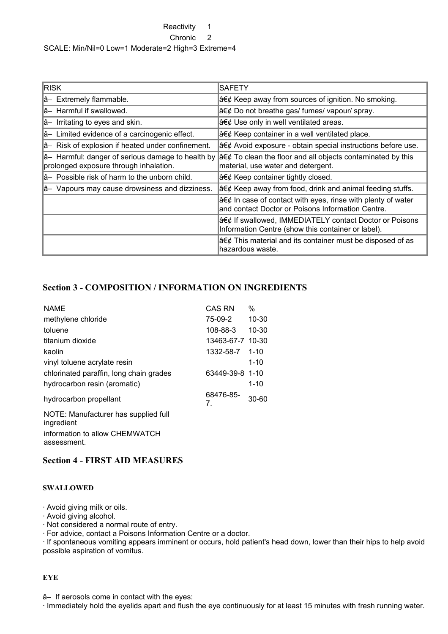#### Reactivity 1

Chronic 2

SCALE: Min/Nil=0 Low=1 Moderate=2 High=3 Extreme=4

| <b>RISK</b>                                                                                 | <b>SAFETY</b>                                                                                                                     |
|---------------------------------------------------------------------------------------------|-----------------------------------------------------------------------------------------------------------------------------------|
| â- Extremely flammable.                                                                     | a€¢ Keep away from sources of ignition. No smoking.                                                                               |
| lâ- Harmful if swallowed.                                                                   | $a \in \mathcal{C}$ Do not breathe gas/ fumes/ vapour/ spray.                                                                     |
| $\hat{a}$ - Irritating to eyes and skin.                                                    | $a \in \mathcal{C}$ Use only in well ventilated areas.                                                                            |
| â- Limited evidence of a carcinogenic effect.                                               | • Keep container in a well ventilated place.                                                                                      |
| a- Risk of explosion if heated under confinement.                                           | a€¢ Avoid exposure - obtain special instructions before use.                                                                      |
| â- Harmful: danger of serious damage to health by<br>prolonged exposure through inhalation. | $a \in \mathcal{C}$ To clean the floor and all objects contaminated by this<br>material, use water and detergent.                 |
| å– Possible risk of harm to the unborn child.                                               | $a \in \mathcal{C}$ Keep container tightly closed.                                                                                |
| â- Vapours may cause drowsiness and dizziness.                                              | a€¢ Keep away from food, drink and animal feeding stuffs.                                                                         |
|                                                                                             | $a \in \mathcal{C}$ In case of contact with eyes, rinse with plenty of water<br>and contact Doctor or Poisons Information Centre. |
|                                                                                             | a€¢ If swallowed, IMMEDIATELY contact Doctor or Poisons<br>Information Centre (show this container or label).                     |
|                                                                                             | $a \in \mathcal{C}$ This material and its container must be disposed of as<br>lhazardous waste.                                   |

# **Section 3 - COMPOSITION / INFORMATION ON INGREDIENTS**

| <b>NAME</b>                                        | <b>CAS RN</b>    | %         |
|----------------------------------------------------|------------------|-----------|
| methylene chloride                                 | 75-09-2          | $10 - 30$ |
| toluene                                            | 108-88-3         | $10 - 30$ |
| titanium dioxide                                   | 13463-67-7 10-30 |           |
| kaolin                                             | 1332-58-7        | $1 - 10$  |
| vinyl toluene acrylate resin                       |                  | $1 - 10$  |
| chlorinated paraffin, long chain grades            | 63449-39-8 1-10  |           |
| hydrocarbon resin (aromatic)                       |                  | $1 - 10$  |
| hydrocarbon propellant                             | 68476-85-<br>7   | $30 - 60$ |
| NOTE: Manufacturer has supplied full<br>ingredient |                  |           |
| information to allow CHEMWATCH<br>assessment.      |                  |           |

# **Section 4 - FIRST AID MEASURES**

#### **SWALLOWED**

· Avoid giving milk or oils.

· Avoid giving alcohol.

· Not considered a normal route of entry.

· For advice, contact a Poisons Information Centre or a doctor.

· If spontaneous vomiting appears imminent or occurs, hold patient's head down, lower than their hips to help avoid possible aspiration of vomitus.

#### **EYE**

â– If aerosols come in contact with the eyes:

· Immediately hold the eyelids apart and flush the eye continuously for at least 15 minutes with fresh running water.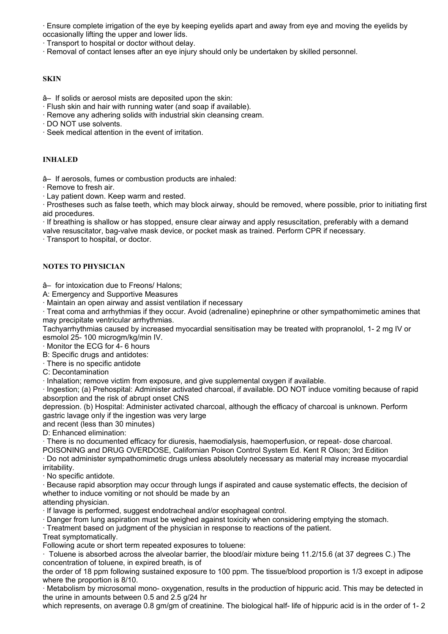· Ensure complete irrigation of the eye by keeping eyelids apart and away from eye and moving the eyelids by occasionally lifting the upper and lower lids.

· Transport to hospital or doctor without delay.

· Removal of contact lenses after an eye injury should only be undertaken by skilled personnel.

#### **SKIN**

â– If solids or aerosol mists are deposited upon the skin:

· Flush skin and hair with running water (and soap if available).

· Remove any adhering solids with industrial skin cleansing cream.

· DO NOT use solvents.

· Seek medical attention in the event of irritation.

#### **INHALED**

â– If aerosols, fumes or combustion products are inhaled:

· Remove to fresh air.

· Lay patient down. Keep warm and rested.

· Prostheses such as false teeth, which may block airway, should be removed, where possible, prior to initiating first aid procedures.

· If breathing is shallow or has stopped, ensure clear airway and apply resuscitation, preferably with a demand valve resuscitator, bag-valve mask device, or pocket mask as trained. Perform CPR if necessary.

· Transport to hospital, or doctor.

### **NOTES TO PHYSICIAN**

â– for intoxication due to Freons/ Halons;

A: Emergency and Supportive Measures

· Maintain an open airway and assist ventilation if necessary

· Treat coma and arrhythmias if they occur. Avoid (adrenaline) epinephrine or other sympathomimetic amines that may precipitate ventricular arrhythmias.

Tachyarrhythmias caused by increased myocardial sensitisation may be treated with propranolol, 1- 2 mg IV or esmolol 25- 100 microgm/kg/min IV.

· Monitor the ECG for 4- 6 hours

B: Specific drugs and antidotes:

· There is no specific antidote

C: Decontamination

· Inhalation; remove victim from exposure, and give supplemental oxygen if available.

· Ingestion; (a) Prehospital: Administer activated charcoal, if available. DO NOT induce vomiting because of rapid absorption and the risk of abrupt onset CNS

depression. (b) Hospital: Administer activated charcoal, although the efficacy of charcoal is unknown. Perform gastric lavage only if the ingestion was very large

and recent (less than 30 minutes)

D: Enhanced elimination:

· There is no documented efficacy for diuresis, haemodialysis, haemoperfusion, or repeat- dose charcoal.

POISONING and DRUG OVERDOSE, Californian Poison Control System Ed. Kent R Olson; 3rd Edition

· Do not administer sympathomimetic drugs unless absolutely necessary as material may increase myocardial irritability.

· No specific antidote.

· Because rapid absorption may occur through lungs if aspirated and cause systematic effects, the decision of whether to induce vomiting or not should be made by an

attending physician.

· If lavage is performed, suggest endotracheal and/or esophageal control.

· Danger from lung aspiration must be weighed against toxicity when considering emptying the stomach.

· Treatment based on judgment of the physician in response to reactions of the patient.

Treat symptomatically.

Following acute or short term repeated exposures to toluene:

· Toluene is absorbed across the alveolar barrier, the blood/air mixture being 11.2/15.6 (at 37 degrees C.) The concentration of toluene, in expired breath, is of

the order of 18 ppm following sustained exposure to 100 ppm. The tissue/blood proportion is 1/3 except in adipose where the proportion is 8/10.

· Metabolism by microsomal mono- oxygenation, results in the production of hippuric acid. This may be detected in the urine in amounts between 0.5 and 2.5 g/24 hr

which represents, on average 0.8 gm/gm of creatinine. The biological half- life of hippuric acid is in the order of 1-2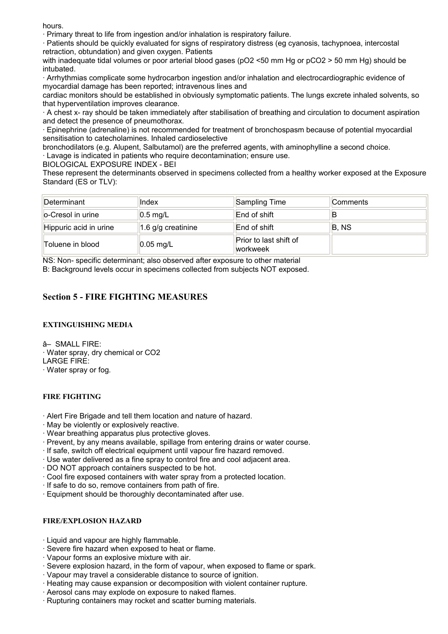hours.

· Primary threat to life from ingestion and/or inhalation is respiratory failure.

· Patients should be quickly evaluated for signs of respiratory distress (eg cyanosis, tachypnoea, intercostal retraction, obtundation) and given oxygen. Patients

with inadequate tidal volumes or poor arterial blood gases (pO2 <50 mm Hg or pCO2 > 50 mm Hg) should be intubated.

· Arrhythmias complicate some hydrocarbon ingestion and/or inhalation and electrocardiographic evidence of myocardial damage has been reported; intravenous lines and

cardiac monitors should be established in obviously symptomatic patients. The lungs excrete inhaled solvents, so that hyperventilation improves clearance.

· A chest x- ray should be taken immediately after stabilisation of breathing and circulation to document aspiration and detect the presence of pneumothorax.

· Epinephrine (adrenaline) is not recommended for treatment of bronchospasm because of potential myocardial sensitisation to catecholamines. Inhaled cardioselective

bronchodilators (e.g. Alupent, Salbutamol) are the preferred agents, with aminophylline a second choice.

· Lavage is indicated in patients who require decontamination; ensure use.

BIOLOGICAL EXPOSURE INDEX - BEI

These represent the determinants observed in specimens collected from a healthy worker exposed at the Exposure Standard (ES or TLV):

| Determinant            | Index                 | Sampling Time                      | Comments |
|------------------------|-----------------------|------------------------------------|----------|
| lo-Cresol in urine     | $0.5$ mg/L            | End of shift                       |          |
| Hippuric acid in urine | 1.6 $g/g$ creatinine  | End of shift                       | B, NS    |
| Toluene in blood       | $ 0.05 \text{ mg/L} $ | Prior to last shift of<br>workweek |          |

NS: Non- specific determinant; also observed after exposure to other material

B: Background levels occur in specimens collected from subjects NOT exposed.

# **Section 5 - FIRE FIGHTING MEASURES**

### **EXTINGUISHING MEDIA**

â– SMALL FIRE: · Water spray, dry chemical or CO2 LARGE FIRE:

· Water spray or fog.

#### **FIRE FIGHTING**

- · Alert Fire Brigade and tell them location and nature of hazard.
- · May be violently or explosively reactive.
- · Wear breathing apparatus plus protective gloves.
- · Prevent, by any means available, spillage from entering drains or water course.
- · If safe, switch off electrical equipment until vapour fire hazard removed.
- · Use water delivered as a fine spray to control fire and cool adjacent area.
- · DO NOT approach containers suspected to be hot.
- · Cool fire exposed containers with water spray from a protected location.
- · If safe to do so, remove containers from path of fire.
- · Equipment should be thoroughly decontaminated after use.

#### **FIRE/EXPLOSION HAZARD**

- · Liquid and vapour are highly flammable.
- · Severe fire hazard when exposed to heat or flame.
- · Vapour forms an explosive mixture with air.
- · Severe explosion hazard, in the form of vapour, when exposed to flame or spark.
- · Vapour may travel a considerable distance to source of ignition.
- · Heating may cause expansion or decomposition with violent container rupture.
- · Aerosol cans may explode on exposure to naked flames.
- · Rupturing containers may rocket and scatter burning materials.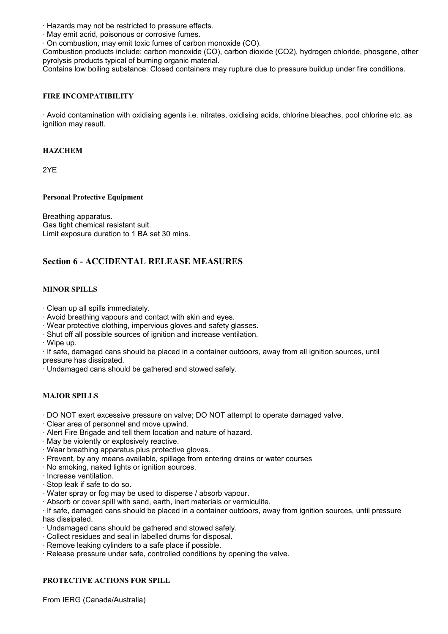· Hazards may not be restricted to pressure effects.

· May emit acrid, poisonous or corrosive fumes.

· On combustion, may emit toxic fumes of carbon monoxide (CO).

Combustion products include: carbon monoxide (CO), carbon dioxide (CO2), hydrogen chloride, phosgene, other pyrolysis products typical of burning organic material.

Contains low boiling substance: Closed containers may rupture due to pressure buildup under fire conditions.

### **FIRE INCOMPATIBILITY**

· Avoid contamination with oxidising agents i.e. nitrates, oxidising acids, chlorine bleaches, pool chlorine etc. as ignition may result.

#### **HAZCHEM**

2YE

#### **Personal Protective Equipment**

Breathing apparatus. Gas tight chemical resistant suit. Limit exposure duration to 1 BA set 30 mins.

# **Section 6 - ACCIDENTAL RELEASE MEASURES**

#### **MINOR SPILLS**

· Clean up all spills immediately.

· Avoid breathing vapours and contact with skin and eyes.

· Wear protective clothing, impervious gloves and safety glasses.

· Shut off all possible sources of ignition and increase ventilation.

· Wipe up.

· If safe, damaged cans should be placed in a container outdoors, away from all ignition sources, until pressure has dissipated.

· Undamaged cans should be gathered and stowed safely.

#### **MAJOR SPILLS**

- · DO NOT exert excessive pressure on valve; DO NOT attempt to operate damaged valve.
- · Clear area of personnel and move upwind.
- · Alert Fire Brigade and tell them location and nature of hazard.
- · May be violently or explosively reactive.
- · Wear breathing apparatus plus protective gloves.
- · Prevent, by any means available, spillage from entering drains or water courses
- · No smoking, naked lights or ignition sources.
- · Increase ventilation.
- · Stop leak if safe to do so.
- · Water spray or fog may be used to disperse / absorb vapour.
- · Absorb or cover spill with sand, earth, inert materials or vermiculite.

· If safe, damaged cans should be placed in a container outdoors, away from ignition sources, until pressure has dissipated.

- · Undamaged cans should be gathered and stowed safely.
- · Collect residues and seal in labelled drums for disposal.
- · Remove leaking cylinders to a safe place if possible.
- · Release pressure under safe, controlled conditions by opening the valve.

#### **PROTECTIVE ACTIONS FOR SPILL**

From IERG (Canada/Australia)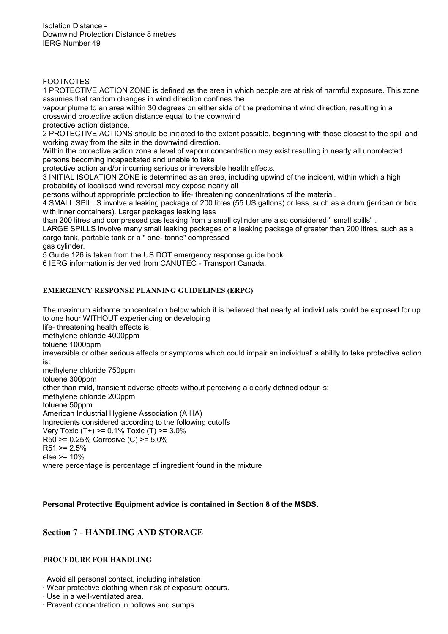Isolation Distance - Downwind Protection Distance 8 metres IERG Number 49

#### FOOTNOTES

1 PROTECTIVE ACTION ZONE is defined as the area in which people are at risk of harmful exposure. This zone assumes that random changes in wind direction confines the

vapour plume to an area within 30 degrees on either side of the predominant wind direction, resulting in a crosswind protective action distance equal to the downwind

protective action distance.

2 PROTECTIVE ACTIONS should be initiated to the extent possible, beginning with those closest to the spill and working away from the site in the downwind direction.

Within the protective action zone a level of vapour concentration may exist resulting in nearly all unprotected persons becoming incapacitated and unable to take

protective action and/or incurring serious or irreversible health effects.

3 INITIAL ISOLATION ZONE is determined as an area, including upwind of the incident, within which a high probability of localised wind reversal may expose nearly all

persons without appropriate protection to life- threatening concentrations of the material.

4 SMALL SPILLS involve a leaking package of 200 litres (55 US gallons) or less, such as a drum (jerrican or box with inner containers). Larger packages leaking less

than 200 litres and compressed gas leaking from a small cylinder are also considered " small spills" .

LARGE SPILLS involve many small leaking packages or a leaking package of greater than 200 litres, such as a cargo tank, portable tank or a " one- tonne" compressed

gas cylinder.

5 Guide 126 is taken from the US DOT emergency response guide book.

6 IERG information is derived from CANUTEC - Transport Canada.

### **EMERGENCY RESPONSE PLANNING GUIDELINES (ERPG)**

The maximum airborne concentration below which it is believed that nearly all individuals could be exposed for up to one hour WITHOUT experiencing or developing

life- threatening health effects is:

methylene chloride 4000ppm

toluene 1000ppm

irreversible or other serious effects or symptoms which could impair an individual' s ability to take protective action is:

methylene chloride 750ppm

toluene 300ppm other than mild, transient adverse effects without perceiving a clearly defined odour is:

methylene chloride 200ppm

toluene 50ppm

American Industrial Hygiene Association (AIHA)

Ingredients considered according to the following cutoffs

Very Toxic (T+) >= 0.1% Toxic (T) >= 3.0% R50 >= 0.25% Corrosive (C) >= 5.0%

 $R51 > 2.5%$ 

else >= 10%

where percentage is percentage of ingredient found in the mixture

#### **Personal Protective Equipment advice is contained in Section 8 of the MSDS.**

# **Section 7 - HANDLING AND STORAGE**

#### **PROCEDURE FOR HANDLING**

- · Avoid all personal contact, including inhalation.
- · Wear protective clothing when risk of exposure occurs.
- · Use in a well-ventilated area.
- · Prevent concentration in hollows and sumps.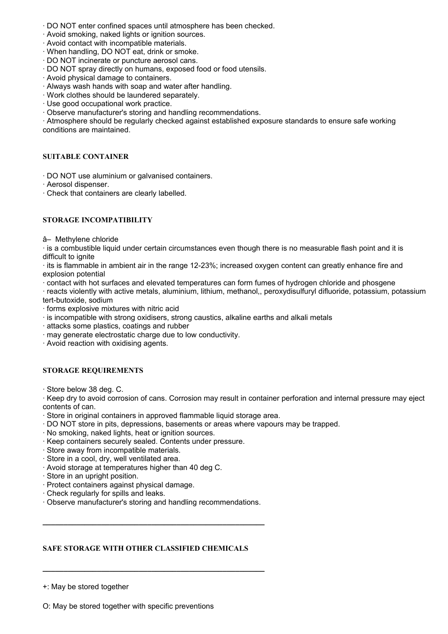- · DO NOT enter confined spaces until atmosphere has been checked.
- · Avoid smoking, naked lights or ignition sources.
- · Avoid contact with incompatible materials.
- · When handling, DO NOT eat, drink or smoke.
- · DO NOT incinerate or puncture aerosol cans.
- · DO NOT spray directly on humans, exposed food or food utensils.
- · Avoid physical damage to containers.
- · Always wash hands with soap and water after handling.
- · Work clothes should be laundered separately.
- · Use good occupational work practice.
- · Observe manufacturer's storing and handling recommendations.

· Atmosphere should be regularly checked against established exposure standards to ensure safe working conditions are maintained.

#### **SUITABLE CONTAINER**

- · DO NOT use aluminium or galvanised containers.
- · Aerosol dispenser.
- · Check that containers are clearly labelled.

#### **STORAGE INCOMPATIBILITY**

â– Methylene chloride

· is a combustible liquid under certain circumstances even though there is no measurable flash point and it is difficult to ignite

· its is flammable in ambient air in the range 12-23%; increased oxygen content can greatly enhance fire and explosion potential

· contact with hot surfaces and elevated temperatures can form fumes of hydrogen chloride and phosgene

· reacts violently with active metals, aluminium, lithium, methanol,, peroxydisulfuryl difluoride, potassium, potassium tert-butoxide, sodium

- · forms explosive mixtures with nitric acid
- · is incompatible with strong oxidisers, strong caustics, alkaline earths and alkali metals
- · attacks some plastics, coatings and rubber
- · may generate electrostatic charge due to low conductivity.
- · Avoid reaction with oxidising agents.

#### **STORAGE REQUIREMENTS**

· Store below 38 deg. C.

· Keep dry to avoid corrosion of cans. Corrosion may result in container perforation and internal pressure may eject contents of can.

- · Store in original containers in approved flammable liquid storage area.
- · DO NOT store in pits, depressions, basements or areas where vapours may be trapped.
- · No smoking, naked lights, heat or ignition sources.
- · Keep containers securely sealed. Contents under pressure.
- · Store away from incompatible materials.
- · Store in a cool, dry, well ventilated area.
- · Avoid storage at temperatures higher than 40 deg C.
- · Store in an upright position.
- · Protect containers against physical damage.
- · Check regularly for spills and leaks.
- · Observe manufacturer's storing and handling recommendations.

**\_\_\_\_\_\_\_\_\_\_\_\_\_\_\_\_\_\_\_\_\_\_\_\_\_\_\_\_\_\_\_\_\_\_\_\_\_\_\_\_\_\_\_\_\_\_\_\_\_\_\_\_\_** 

**\_\_\_\_\_\_\_\_\_\_\_\_\_\_\_\_\_\_\_\_\_\_\_\_\_\_\_\_\_\_\_\_\_\_\_\_\_\_\_\_\_\_\_\_\_\_\_\_\_\_\_\_\_** 

# **SAFE STORAGE WITH OTHER CLASSIFIED CHEMICALS**

+: May be stored together

O: May be stored together with specific preventions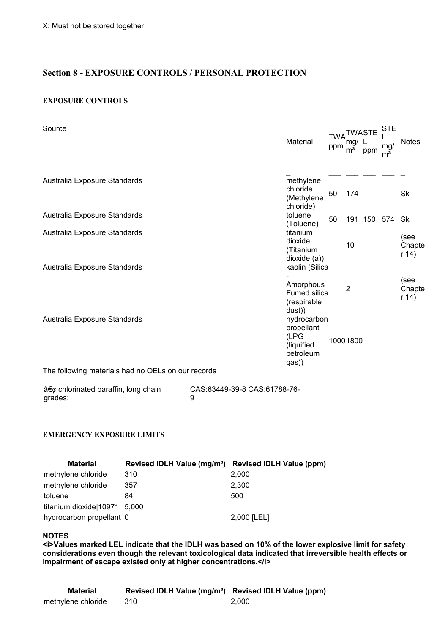# **Section 8 - EXPOSURE CONTROLS / PERSONAL PROTECTION**

#### **EXPOSURE CONTROLS**

| Source                                             | <b>STE</b><br><b>TWA<sup>TWASTE</sup></b><br>Material<br>mg/<br>ppm<br>mg/<br>m <sup>3</sup><br>ppm<br>m <sup>3</sup> | <b>Notes</b>            |
|----------------------------------------------------|-----------------------------------------------------------------------------------------------------------------------|-------------------------|
| Australia Exposure Standards                       | methylene<br>chloride                                                                                                 |                         |
| Australia Exposure Standards                       | 50<br>174<br>(Methylene<br>chloride)<br>toluene<br>50<br>191 150 574 Sk                                               | Sk                      |
| Australia Exposure Standards                       | (Toluene)<br>titanium<br>dioxide<br>10<br>(Titanium<br>dioxide(a)                                                     | (see<br>Chapte<br>r(14) |
| Australia Exposure Standards                       | kaolin (Silica<br>Amorphous<br>$\overline{2}$<br>Fumed silica<br>(respirable                                          | (see<br>Chapte<br>r(14) |
| Australia Exposure Standards                       | dust))<br>hydrocarbon<br>propellant<br>(LPG<br>10001800<br>(liquified<br>petroleum<br>gas))                           |                         |
| The following materials had no OELs on our records |                                                                                                                       |                         |

 $a \in \mathcal{G}$  chlorinated paraffin, long chain grades: CAS:63449-39-8 CAS:61788-76- 9

### **EMERGENCY EXPOSURE LIMITS**

| <b>Material</b>              | Revised IDLH Value (mg/m <sup>3</sup> ) Revised IDLH Value (ppm) |             |
|------------------------------|------------------------------------------------------------------|-------------|
| methylene chloride           | 310                                                              | 2.000       |
| methylene chloride           | 357                                                              | 2,300       |
| toluene                      | 84                                                               | 500         |
| titanium dioxide 10971 5,000 |                                                                  |             |
| hydrocarbon propellant 0     |                                                                  | 2,000 [LEL] |

#### **NOTES**

**<i>Values marked LEL indicate that the IDLH was based on 10% of the lower explosive limit for safety considerations even though the relevant toxicological data indicated that irreversible health effects or impairment of escape existed only at higher concentrations.</i>**

| Material           | Revised IDLH Value (mg/m <sup>3</sup> ) Revised IDLH Value (ppm) |       |
|--------------------|------------------------------------------------------------------|-------|
| methylene chloride | 310                                                              | 2.000 |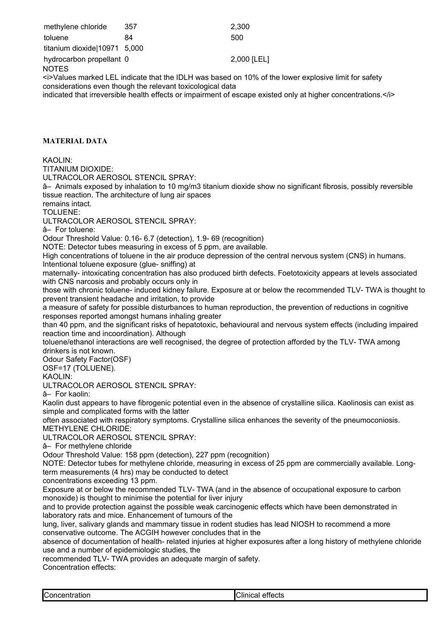| methylene chloride                 | 357 | 2.300                                                                                               |
|------------------------------------|-----|-----------------------------------------------------------------------------------------------------|
| toluene                            | 84  | 500                                                                                                 |
| titanium dioxide 10971 5,000       |     |                                                                                                     |
| hydrocarbon propellant 0<br>NOTES. |     | 2,000 [LEL]                                                                                         |
|                                    |     | i>Values marked LEL indicate that the IDLH was based on 10% of the lower explosive limit for safety |

considerations even though the relevant toxicological data

indicated that irreversible health effects or impairment of escape existed only at higher concentrations.</i></i>

#### **MATERIAL DATA**

KAOLIN:

TITANIUM DIOXIDE:

ULTRACOLOR AEROSOL STENCIL SPRAY:

â– Animals exposed by inhalation to 10 mg/m3 titanium dioxide show no significant fibrosis, possibly reversible tissue reaction. The architecture of lung air spaces

remains intact.

TOLUENE:

ULTRACOLOR AEROSOL STENCIL SPRAY:

â– For toluene:

Odour Threshold Value: 0.16- 6.7 (detection), 1.9- 69 (recognition)

NOTE: Detector tubes measuring in excess of 5 ppm, are available.

High concentrations of toluene in the air produce depression of the central nervous system (CNS) in humans. Intentional toluene exposure (glue- sniffing) at

maternally- intoxicating concentration has also produced birth defects. Foetotoxicity appears at levels associated with CNS narcosis and probably occurs only in

those with chronic toluene- induced kidney failure. Exposure at or below the recommended TLV- TWA is thought to prevent transient headache and irritation, to provide

a measure of safety for possible disturbances to human reproduction, the prevention of reductions in cognitive responses reported amongst humans inhaling greater

than 40 ppm, and the significant risks of hepatotoxic, behavioural and nervous system effects (including impaired reaction time and incoordination). Although

toluene/ethanol interactions are well recognised, the degree of protection afforded by the TLV- TWA among drinkers is not known.

Odour Safety Factor(OSF)

OSF=17 (TOLUENE).

KAOLIN<sup>.</sup>

ULTRACOLOR AEROSOL STENCIL SPRAY:

â– For kaolin:

Kaolin dust appears to have fibrogenic potential even in the absence of crystalline silica. Kaolinosis can exist as simple and complicated forms with the latter

often associated with respiratory symptoms. Crystalline silica enhances the severity of the pneumoconiosis. METHYLENE CHLORIDE:

ULTRACOLOR AEROSOL STENCIL SPRAY:

â– For methylene chloride

Odour Threshold Value: 158 ppm (detection), 227 ppm (recognition)

NOTE: Detector tubes for methylene chloride, measuring in excess of 25 ppm are commercially available. Longterm measurements (4 hrs) may be conducted to detect

concentrations exceeding 13 ppm.

Exposure at or below the recommended TLV- TWA (and in the absence of occupational exposure to carbon monoxide) is thought to minimise the potential for liver injury

and to provide protection against the possible weak carcinogenic effects which have been demonstrated in laboratory rats and mice. Enhancement of tumours of the

lung, liver, salivary glands and mammary tissue in rodent studies has lead NIOSH to recommend a more conservative outcome. The ACGIH however concludes that in the

absence of documentation of health- related injuries at higher exposures after a long history of methylene chloride use and a number of epidemiologic studies, the

recommended TLV- TWA provides an adequate margin of safety.

Concentration effects:

| <b>Concentration</b><br>Clinical<br>effects |
|---------------------------------------------|
|---------------------------------------------|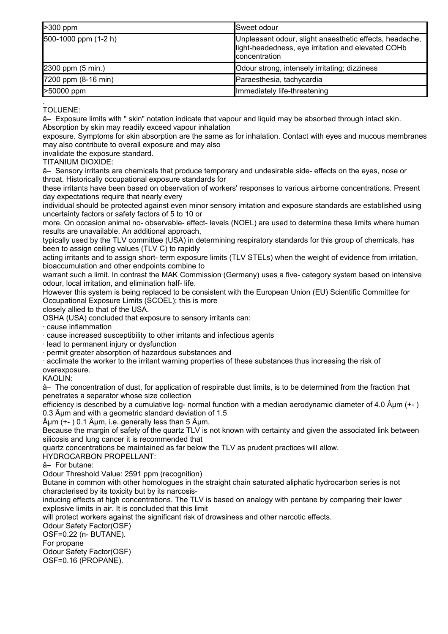| $\geq 300$ ppm                 | ISweet odour                                                                                                                    |
|--------------------------------|---------------------------------------------------------------------------------------------------------------------------------|
| $[500-1000$ ppm $(1-2 h)$      | Unpleasant odour, slight anaesthetic effects, headache,<br>light-headedness, eye irritation and elevated COHb<br>Iconcentration |
| $[2300$ ppm $(5 \text{ min.})$ | Odour strong, intensely irritating; dizziness                                                                                   |
| $[7200$ ppm $(8-16$ min)       | Paraesthesia, tachycardia                                                                                                       |
| >50000 ppm                     | Immediately life-threatening                                                                                                    |

. TOLUENE:

â– Exposure limits with " skin" notation indicate that vapour and liquid may be absorbed through intact skin. Absorption by skin may readily exceed vapour inhalation

exposure. Symptoms for skin absorption are the same as for inhalation. Contact with eyes and mucous membranes may also contribute to overall exposure and may also

invalidate the exposure standard.

TITANIUM DIOXIDE:

â– Sensory irritants are chemicals that produce temporary and undesirable side- effects on the eyes, nose or throat. Historically occupational exposure standards for

these irritants have been based on observation of workers' responses to various airborne concentrations. Present day expectations require that nearly every

individual should be protected against even minor sensory irritation and exposure standards are established using uncertainty factors or safety factors of 5 to 10 or

more. On occasion animal no- observable- effect- levels (NOEL) are used to determine these limits where human results are unavailable. An additional approach,

typically used by the TLV committee (USA) in determining respiratory standards for this group of chemicals, has been to assign ceiling values (TLV C) to rapidly

acting irritants and to assign short- term exposure limits (TLV STELs) when the weight of evidence from irritation, bioaccumulation and other endpoints combine to

warrant such a limit. In contrast the MAK Commission (Germany) uses a five- category system based on intensive odour, local irritation, and elimination half- life.

However this system is being replaced to be consistent with the European Union (EU) Scientific Committee for Occupational Exposure Limits (SCOEL); this is more

closely allied to that of the USA.

OSHA (USA) concluded that exposure to sensory irritants can:

· cause inflammation

· cause increased susceptibility to other irritants and infectious agents

· lead to permanent injury or dysfunction

· permit greater absorption of hazardous substances and

· acclimate the worker to the irritant warning properties of these substances thus increasing the risk of overexposure.

KAOLIN:

â– The concentration of dust, for application of respirable dust limits, is to be determined from the fraction that penetrates a separator whose size collection

efficiency is described by a cumulative log- normal function with a median aerodynamic diameter of 4.0  $\hat{A}$ µm (+-) 0.3  $\hat{A}$ µm and with a geometric standard deviation of 1.5

 $\hat{A} \mu$ m (+- ) 0.1  $\hat{A} \mu$ m, i.e..generally less than 5  $\hat{A} \mu$ m.

Because the margin of safety of the quartz TLV is not known with certainty and given the associated link between silicosis and lung cancer it is recommended that

quartz concentrations be maintained as far below the TLV as prudent practices will allow.

HYDROCARBON PROPELLANT:

â– For butane:

Odour Threshold Value: 2591 ppm (recognition)

Butane in common with other homologues in the straight chain saturated aliphatic hydrocarbon series is not characterised by its toxicity but by its narcosis-

inducing effects at high concentrations. The TLV is based on analogy with pentane by comparing their lower explosive limits in air. It is concluded that this limit

will protect workers against the significant risk of drowsiness and other narcotic effects.

Odour Safety Factor(OSF)

OSF=0.22 (n- BUTANE).

For propane

Odour Safety Factor(OSF) OSF=0.16 (PROPANE).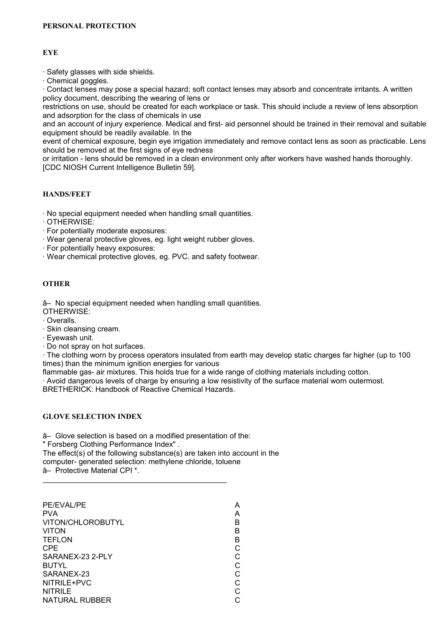### **EYE**

· Safety glasses with side shields.

· Chemical goggles.

· Contact lenses may pose a special hazard; soft contact lenses may absorb and concentrate irritants. A written policy document, describing the wearing of lens or

restrictions on use, should be created for each workplace or task. This should include a review of lens absorption and adsorption for the class of chemicals in use

and an account of injury experience. Medical and first- aid personnel should be trained in their removal and suitable equipment should be readily available. In the

event of chemical exposure, begin eye irrigation immediately and remove contact lens as soon as practicable. Lens should be removed at the first signs of eye redness

or irritation - lens should be removed in a clean environment only after workers have washed hands thoroughly. [CDC NIOSH Current Intelligence Bulletin 59].

#### **HANDS/FEET**

· No special equipment needed when handling small quantities.

- · OTHERWISE:
- · For potentially moderate exposures:
- · Wear general protective gloves, eg. light weight rubber gloves.
- · For potentially heavy exposures:
- · Wear chemical protective gloves, eg. PVC. and safety footwear.

# **OTHER**

â– No special equipment needed when handling small quantities.

- OTHERWISE:
- · Overalls.
- · Skin cleansing cream.
- · Eyewash unit.
- · Do not spray on hot surfaces.

· The clothing worn by process operators insulated from earth may develop static charges far higher (up to 100 times) than the minimum ignition energies for various

flammable gas- air mixtures. This holds true for a wide range of clothing materials including cotton.

· Avoid dangerous levels of charge by ensuring a low resistivity of the surface material worn outermost.

BRETHERICK: Handbook of Reactive Chemical Hazards.

# **GLOVE SELECTION INDEX**

â– Glove selection is based on a modified presentation of the:

" Forsberg Clothing Performance Index" .

The effect(s) of the following substance(s) are taken into account in the computer- generated selection: methylene chloride, toluene â– Protective Material CPI \*.

| PE/EVAL/PE            | А |
|-----------------------|---|
| <b>PVA</b>            | A |
| VITON/CHLOROBUTYL     | R |
| <b>VITON</b>          | R |
| <b>TEFLON</b>         | В |
| CPE                   |   |
| SARANEX-23 2-PLY      |   |
| <b>BUTYL</b>          |   |
| SARANEX-23            |   |
| NITRILE+PVC           |   |
| <b>NITRILE</b>        |   |
| <b>NATURAL RUBBER</b> |   |
|                       |   |

\_\_\_\_\_\_\_\_\_\_\_\_\_\_\_\_\_\_\_\_\_\_\_\_\_\_\_\_\_\_\_\_\_\_\_\_\_\_\_\_\_\_\_\_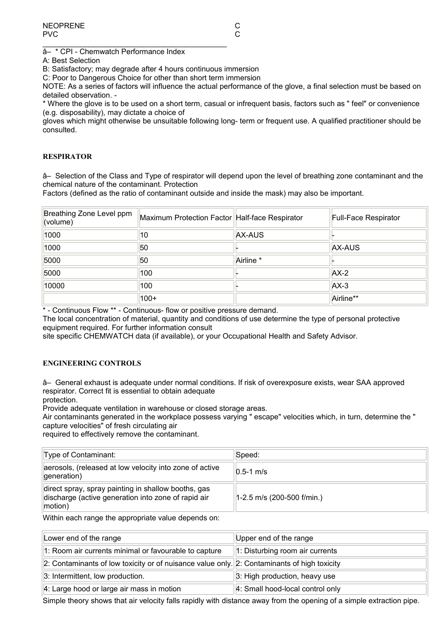â– \* CPI - Chemwatch Performance Index

\_\_\_\_\_\_\_\_\_\_\_\_\_\_\_\_\_\_\_\_\_\_\_\_\_\_\_\_\_\_\_\_\_\_\_\_\_\_\_\_\_\_\_\_

A: Best Selection

B: Satisfactory; may degrade after 4 hours continuous immersion

C: Poor to Dangerous Choice for other than short term immersion

NOTE: As a series of factors will influence the actual performance of the glove, a final selection must be based on detailed observation. -

\* Where the glove is to be used on a short term, casual or infrequent basis, factors such as " feel" or convenience (e.g. disposability), may dictate a choice of

gloves which might otherwise be unsuitable following long- term or frequent use. A qualified practitioner should be consulted.

#### **RESPIRATOR**

â– Selection of the Class and Type of respirator will depend upon the level of breathing zone contaminant and the chemical nature of the contaminant. Protection

Factors (defined as the ratio of contaminant outside and inside the mask) may also be important.

| Breathing Zone Level ppm<br>(volume) | Maximum Protection Factor Half-face Respirator |                      | <b>Full-Face Respirator</b> |
|--------------------------------------|------------------------------------------------|----------------------|-----------------------------|
| 1000                                 | 10                                             | AX-AUS               |                             |
| 1000                                 | 50                                             |                      | AX-AUS                      |
| 5000                                 | 50                                             | Airline <sup>*</sup> |                             |
| 5000                                 | 100                                            |                      | $AX-2$                      |
| 10000                                | 100                                            |                      | $AX-3$                      |
|                                      | $100+$                                         |                      | Airline**                   |

\* - Continuous Flow \*\* - Continuous- flow or positive pressure demand.

The local concentration of material, quantity and conditions of use determine the type of personal protective equipment required. For further information consult

site specific CHEMWATCH data (if available), or your Occupational Health and Safety Advisor.

#### **ENGINEERING CONTROLS**

â– General exhaust is adequate under normal conditions. If risk of overexposure exists, wear SAA approved respirator. Correct fit is essential to obtain adequate

protection.

Provide adequate ventilation in warehouse or closed storage areas.

Air contaminants generated in the workplace possess varying " escape" velocities which, in turn, determine the " capture velocities" of fresh circulating air

required to effectively remove the contaminant.

| Type of Contaminant:                                                                                                  | Speed:                       |
|-----------------------------------------------------------------------------------------------------------------------|------------------------------|
| aerosols, (released at low velocity into zone of active<br>generation)                                                | $0.5-1$ m/s                  |
| direct spray, spray painting in shallow booths, gas<br>discharge (active generation into zone of rapid air<br>motion) | $1-2.5$ m/s (200-500 f/min.) |

Within each range the appropriate value depends on:

| Lower end of the range                                                                      | Upper end of the range           |
|---------------------------------------------------------------------------------------------|----------------------------------|
| 1: Room air currents minimal or favourable to capture                                       | 1: Disturbing room air currents  |
| 2: Contaminants of low toxicity or of nuisance value only. 2: Contaminants of high toxicity |                                  |
| 3: Intermittent, low production.                                                            | 3: High production, heavy use    |
| 4: Large hood or large air mass in motion                                                   | 4: Small hood-local control only |

Simple theory shows that air velocity falls rapidly with distance away from the opening of a simple extraction pipe.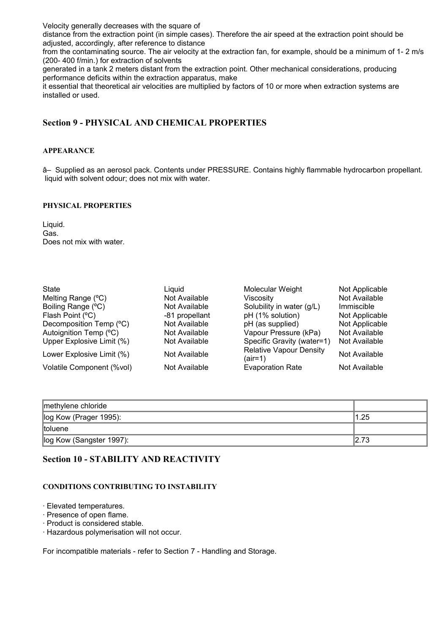Velocity generally decreases with the square of

distance from the extraction point (in simple cases). Therefore the air speed at the extraction point should be adjusted, accordingly, after reference to distance

from the contaminating source. The air velocity at the extraction fan, for example, should be a minimum of 1- 2 m/s (200- 400 f/min.) for extraction of solvents

generated in a tank 2 meters distant from the extraction point. Other mechanical considerations, producing performance deficits within the extraction apparatus, make

it essential that theoretical air velocities are multiplied by factors of 10 or more when extraction systems are installed or used.

# **Section 9 - PHYSICAL AND CHEMICAL PROPERTIES**

#### **APPEARANCE**

â– Supplied as an aerosol pack. Contents under PRESSURE. Contains highly flammable hydrocarbon propellant. liquid with solvent odour; does not mix with water.

#### **PHYSICAL PROPERTIES**

Liquid. Gas. Does not mix with water.

| <b>State</b>              | Liquid         | Molecular Weight                          | Not Applicable |
|---------------------------|----------------|-------------------------------------------|----------------|
| Melting Range (°C)        | Not Available  | Viscosity                                 | Not Available  |
| Boiling Range (°C)        | Not Available  | Solubility in water (g/L)                 | Immiscible     |
| Flash Point (°C)          | -81 propellant | pH (1% solution)                          | Not Applicable |
| Decomposition Temp (°C)   | Not Available  | pH (as supplied)                          | Not Applicable |
| Autoignition Temp (°C)    | Not Available  | Vapour Pressure (kPa)                     | Not Available  |
| Upper Explosive Limit (%) | Not Available  | Specific Gravity (water=1)                | Not Available  |
| Lower Explosive Limit (%) | Not Available  | <b>Relative Vapour Density</b><br>(air=1) | Not Available  |
| Volatile Component (%vol) | Not Available  | <b>Evaporation Rate</b>                   | Not Available  |

| methylene chloride       |       |
|--------------------------|-------|
| log Kow (Prager 1995):   | 1.25  |
| toluene                  |       |
| log Kow (Sangster 1997): | 12.73 |

# **Section 10 - STABILITY AND REACTIVITY**

#### **CONDITIONS CONTRIBUTING TO INSTABILITY**

· Elevated temperatures.

- · Presence of open flame.
- · Product is considered stable.
- · Hazardous polymerisation will not occur.

For incompatible materials - refer to Section 7 - Handling and Storage.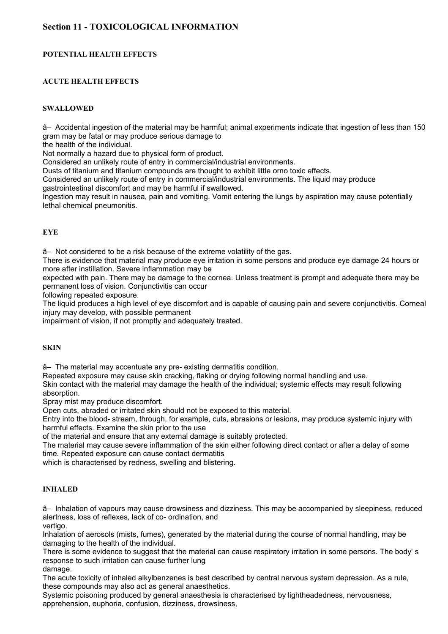# **Section 11 - TOXICOLOGICAL INFORMATION**

#### **POTENTIAL HEALTH EFFECTS**

#### **ACUTE HEALTH EFFECTS**

#### **SWALLOWED**

â– Accidental ingestion of the material may be harmful; animal experiments indicate that ingestion of less than 150 gram may be fatal or may produce serious damage to

the health of the individual.

Not normally a hazard due to physical form of product.

Considered an unlikely route of entry in commercial/industrial environments.

Dusts of titanium and titanium compounds are thought to exhibit little orno toxic effects.

Considered an unlikely route of entry in commercial/industrial environments. The liquid may produce

gastrointestinal discomfort and may be harmful if swallowed.

Ingestion may result in nausea, pain and vomiting. Vomit entering the lungs by aspiration may cause potentially lethal chemical pneumonitis.

#### **EYE**

â– Not considered to be a risk because of the extreme volatility of the gas.

There is evidence that material may produce eye irritation in some persons and produce eye damage 24 hours or more after instillation. Severe inflammation may be

expected with pain. There may be damage to the cornea. Unless treatment is prompt and adequate there may be permanent loss of vision. Conjunctivitis can occur

following repeated exposure.

The liquid produces a high level of eye discomfort and is capable of causing pain and severe conjunctivitis. Corneal injury may develop, with possible permanent

impairment of vision, if not promptly and adequately treated.

#### **SKIN**

â– The material may accentuate any pre- existing dermatitis condition.

Repeated exposure may cause skin cracking, flaking or drying following normal handling and use. Skin contact with the material may damage the health of the individual; systemic effects may result following absorption.

Spray mist may produce discomfort.

Open cuts, abraded or irritated skin should not be exposed to this material.

Entry into the blood- stream, through, for example, cuts, abrasions or lesions, may produce systemic injury with harmful effects. Examine the skin prior to the use

of the material and ensure that any external damage is suitably protected.

The material may cause severe inflammation of the skin either following direct contact or after a delay of some time. Repeated exposure can cause contact dermatitis

which is characterised by redness, swelling and blistering.

#### **INHALED**

â– Inhalation of vapours may cause drowsiness and dizziness. This may be accompanied by sleepiness, reduced alertness, loss of reflexes, lack of co- ordination, and vertigo.

Inhalation of aerosols (mists, fumes), generated by the material during the course of normal handling, may be damaging to the health of the individual.

There is some evidence to suggest that the material can cause respiratory irritation in some persons. The body' s response to such irritation can cause further lung damage.

The acute toxicity of inhaled alkylbenzenes is best described by central nervous system depression. As a rule, these compounds may also act as general anaesthetics.

Systemic poisoning produced by general anaesthesia is characterised by lightheadedness, nervousness, apprehension, euphoria, confusion, dizziness, drowsiness,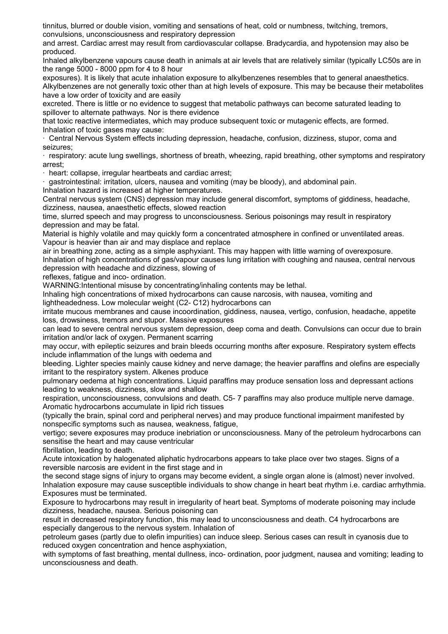tinnitus, blurred or double vision, vomiting and sensations of heat, cold or numbness, twitching, tremors, convulsions, unconsciousness and respiratory depression

and arrest. Cardiac arrest may result from cardiovascular collapse. Bradycardia, and hypotension may also be produced.

Inhaled alkylbenzene vapours cause death in animals at air levels that are relatively similar (typically LC50s are in the range 5000 - 8000 ppm for 4 to 8 hour

exposures). It is likely that acute inhalation exposure to alkylbenzenes resembles that to general anaesthetics. Alkylbenzenes are not generally toxic other than at high levels of exposure. This may be because their metabolites have a low order of toxicity and are easily

excreted. There is little or no evidence to suggest that metabolic pathways can become saturated leading to spillover to alternate pathways. Nor is there evidence

that toxic reactive intermediates, which may produce subsequent toxic or mutagenic effects, are formed. Inhalation of toxic gases may cause:

· Central Nervous System effects including depression, headache, confusion, dizziness, stupor, coma and seizures;

· respiratory: acute lung swellings, shortness of breath, wheezing, rapid breathing, other symptoms and respiratory arrest;

· heart: collapse, irregular heartbeats and cardiac arrest;

· gastrointestinal: irritation, ulcers, nausea and vomiting (may be bloody), and abdominal pain. Inhalation hazard is increased at higher temperatures.

Central nervous system (CNS) depression may include general discomfort, symptoms of giddiness, headache, dizziness, nausea, anaesthetic effects, slowed reaction

time, slurred speech and may progress to unconsciousness. Serious poisonings may result in respiratory depression and may be fatal.

Material is highly volatile and may quickly form a concentrated atmosphere in confined or unventilated areas. Vapour is heavier than air and may displace and replace

air in breathing zone, acting as a simple asphyxiant. This may happen with little warning of overexposure. Inhalation of high concentrations of gas/vapour causes lung irritation with coughing and nausea, central nervous depression with headache and dizziness, slowing of

reflexes, fatigue and inco- ordination.

WARNING:Intentional misuse by concentrating/inhaling contents may be lethal.

Inhaling high concentrations of mixed hydrocarbons can cause narcosis, with nausea, vomiting and lightheadedness. Low molecular weight (C2- C12) hydrocarbons can

irritate mucous membranes and cause incoordination, giddiness, nausea, vertigo, confusion, headache, appetite loss, drowsiness, tremors and stupor. Massive exposures

can lead to severe central nervous system depression, deep coma and death. Convulsions can occur due to brain irritation and/or lack of oxygen. Permanent scarring

may occur, with epileptic seizures and brain bleeds occurring months after exposure. Respiratory system effects include inflammation of the lungs with oedema and

bleeding. Lighter species mainly cause kidney and nerve damage; the heavier paraffins and olefins are especially irritant to the respiratory system. Alkenes produce

pulmonary oedema at high concentrations. Liquid paraffins may produce sensation loss and depressant actions leading to weakness, dizziness, slow and shallow

respiration, unconsciousness, convulsions and death. C5- 7 paraffins may also produce multiple nerve damage. Aromatic hydrocarbons accumulate in lipid rich tissues

(typically the brain, spinal cord and peripheral nerves) and may produce functional impairment manifested by nonspecific symptoms such as nausea, weakness, fatigue,

vertigo; severe exposures may produce inebriation or unconsciousness. Many of the petroleum hydrocarbons can sensitise the heart and may cause ventricular

fibrillation, leading to death.

Acute intoxication by halogenated aliphatic hydrocarbons appears to take place over two stages. Signs of a reversible narcosis are evident in the first stage and in

the second stage signs of injury to organs may become evident, a single organ alone is (almost) never involved. Inhalation exposure may cause susceptible individuals to show change in heart beat rhythm i.e. cardiac arrhythmia. Exposures must be terminated.

Exposure to hydrocarbons may result in irregularity of heart beat. Symptoms of moderate poisoning may include dizziness, headache, nausea. Serious poisoning can

result in decreased respiratory function, this may lead to unconsciousness and death. C4 hydrocarbons are especially dangerous to the nervous system. Inhalation of

petroleum gases (partly due to olefin impurities) can induce sleep. Serious cases can result in cyanosis due to reduced oxygen concentration and hence asphyxiation,

with symptoms of fast breathing, mental dullness, inco- ordination, poor judgment, nausea and vomiting; leading to unconsciousness and death.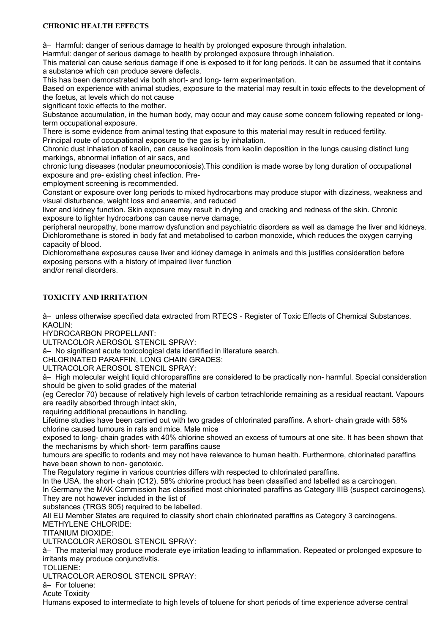#### **CHRONIC HEALTH EFFECTS**

â– Harmful: danger of serious damage to health by prolonged exposure through inhalation.

Harmful: danger of serious damage to health by prolonged exposure through inhalation.

This material can cause serious damage if one is exposed to it for long periods. It can be assumed that it contains a substance which can produce severe defects.

This has been demonstrated via both short- and long- term experimentation.

Based on experience with animal studies, exposure to the material may result in toxic effects to the development of the foetus, at levels which do not cause

significant toxic effects to the mother.

Substance accumulation, in the human body, may occur and may cause some concern following repeated or longterm occupational exposure.

There is some evidence from animal testing that exposure to this material may result in reduced fertility.

Principal route of occupational exposure to the gas is by inhalation.

Chronic dust inhalation of kaolin, can cause kaolinosis from kaolin deposition in the lungs causing distinct lung markings, abnormal inflation of air sacs, and

chronic lung diseases (nodular pneumoconiosis).This condition is made worse by long duration of occupational exposure and pre- existing chest infection. Pre-

employment screening is recommended.

Constant or exposure over long periods to mixed hydrocarbons may produce stupor with dizziness, weakness and visual disturbance, weight loss and anaemia, and reduced

liver and kidney function. Skin exposure may result in drying and cracking and redness of the skin. Chronic exposure to lighter hydrocarbons can cause nerve damage,

peripheral neuropathy, bone marrow dysfunction and psychiatric disorders as well as damage the liver and kidneys. Dichloromethane is stored in body fat and metabolised to carbon monoxide, which reduces the oxygen carrying capacity of blood.

Dichloromethane exposures cause liver and kidney damage in animals and this justifies consideration before exposing persons with a history of impaired liver function

and/or renal disorders.

#### **TOXICITY AND IRRITATION**

â– unless otherwise specified data extracted from RTECS - Register of Toxic Effects of Chemical Substances. KAOLIN:

HYDROCARBON PROPELLANT:

ULTRACOLOR AEROSOL STENCIL SPRAY:

â– No significant acute toxicological data identified in literature search.

CHLORINATED PARAFFIN, LONG CHAIN GRADES:

ULTRACOLOR AEROSOL STENCIL SPRAY:

â– High molecular weight liquid chloroparaffins are considered to be practically non- harmful. Special consideration should be given to solid grades of the material

(eg Cereclor 70) because of relatively high levels of carbon tetrachloride remaining as a residual reactant. Vapours are readily absorbed through intact skin,

requiring additional precautions in handling.

Lifetime studies have been carried out with two grades of chlorinated paraffins. A short- chain grade with 58% chlorine caused tumours in rats and mice. Male mice

exposed to long- chain grades with 40% chlorine showed an excess of tumours at one site. It has been shown that the mechanisms by which short- term paraffins cause

tumours are specific to rodents and may not have relevance to human health. Furthermore, chlorinated paraffins have been shown to non- genotoxic.

The Regulatory regime in various countries differs with respected to chlorinated paraffins.

In the USA, the short- chain (C12), 58% chlorine product has been classified and labelled as a carcinogen. In Germany the MAK Commission has classified most chlorinated paraffins as Category IIIB (suspect carcinogens).

They are not however included in the list of

substances (TRGS 905) required to be labelled.

All EU Member States are required to classify short chain chlorinated paraffins as Category 3 carcinogens. METHYLENE CHLORIDE:

TITANIUM DIOXIDE:

ULTRACOLOR AEROSOL STENCIL SPRAY:

â– The material may produce moderate eye irritation leading to inflammation. Repeated or prolonged exposure to irritants may produce conjunctivitis.

TOLUENE:

ULTRACOLOR AEROSOL STENCIL SPRAY:

â– For toluene:

Acute Toxicity

Humans exposed to intermediate to high levels of toluene for short periods of time experience adverse central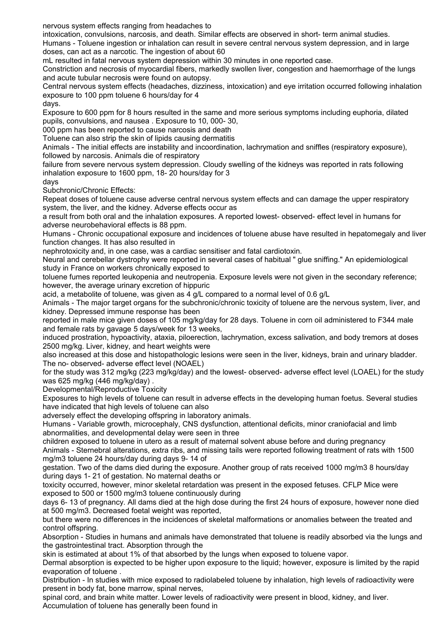nervous system effects ranging from headaches to

intoxication, convulsions, narcosis, and death. Similar effects are observed in short- term animal studies. Humans - Toluene ingestion or inhalation can result in severe central nervous system depression, and in large doses, can act as a narcotic. The ingestion of about 60

mL resulted in fatal nervous system depression within 30 minutes in one reported case.

Constriction and necrosis of myocardial fibers, markedly swollen liver, congestion and haemorrhage of the lungs and acute tubular necrosis were found on autopsy.

Central nervous system effects (headaches, dizziness, intoxication) and eye irritation occurred following inhalation exposure to 100 ppm toluene 6 hours/day for 4

days.

Exposure to 600 ppm for 8 hours resulted in the same and more serious symptoms including euphoria, dilated pupils, convulsions, and nausea . Exposure to 10, 000- 30,

000 ppm has been reported to cause narcosis and death

Toluene can also strip the skin of lipids causing dermatitis

Animals - The initial effects are instability and incoordination, lachrymation and sniffles (respiratory exposure), followed by narcosis. Animals die of respiratory

failure from severe nervous system depression. Cloudy swelling of the kidneys was reported in rats following inhalation exposure to 1600 ppm, 18- 20 hours/day for 3

days

Subchronic/Chronic Effects:

Repeat doses of toluene cause adverse central nervous system effects and can damage the upper respiratory system, the liver, and the kidney. Adverse effects occur as

a result from both oral and the inhalation exposures. A reported lowest- observed- effect level in humans for adverse neurobehavioral effects is 88 ppm.

Humans - Chronic occupational exposure and incidences of toluene abuse have resulted in hepatomegaly and liver function changes. It has also resulted in

nephrotoxicity and, in one case, was a cardiac sensitiser and fatal cardiotoxin.

Neural and cerebellar dystrophy were reported in several cases of habitual " glue sniffing." An epidemiological study in France on workers chronically exposed to

toluene fumes reported leukopenia and neutropenia. Exposure levels were not given in the secondary reference; however, the average urinary excretion of hippuric

acid, a metabolite of toluene, was given as 4 g/L compared to a normal level of 0.6 g/L

Animals - The major target organs for the subchronic/chronic toxicity of toluene are the nervous system, liver, and kidney. Depressed immune response has been

reported in male mice given doses of 105 mg/kg/day for 28 days. Toluene in corn oil administered to F344 male and female rats by gavage 5 days/week for 13 weeks,

induced prostration, hypoactivity, ataxia, piloerection, lachrymation, excess salivation, and body tremors at doses 2500 mg/kg. Liver, kidney, and heart weights were

also increased at this dose and histopathologic lesions were seen in the liver, kidneys, brain and urinary bladder. The no- observed- adverse effect level (NOAEL)

for the study was 312 mg/kg (223 mg/kg/day) and the lowest- observed- adverse effect level (LOAEL) for the study was 625 mg/kg (446 mg/kg/day) .

Developmental/Reproductive Toxicity

Exposures to high levels of toluene can result in adverse effects in the developing human foetus. Several studies have indicated that high levels of toluene can also

adversely effect the developing offspring in laboratory animals.

Humans - Variable growth, microcephaly, CNS dysfunction, attentional deficits, minor craniofacial and limb abnormalities, and developmental delay were seen in three

children exposed to toluene in utero as a result of maternal solvent abuse before and during pregnancy Animals - Sternebral alterations, extra ribs, and missing tails were reported following treatment of rats with 1500 mg/m3 toluene 24 hours/day during days 9- 14 of

gestation. Two of the dams died during the exposure. Another group of rats received 1000 mg/m3 8 hours/day during days 1- 21 of gestation. No maternal deaths or

toxicity occurred, however, minor skeletal retardation was present in the exposed fetuses. CFLP Mice were exposed to 500 or 1500 mg/m3 toluene continuously during

days 6- 13 of pregnancy. All dams died at the high dose during the first 24 hours of exposure, however none died at 500 mg/m3. Decreased foetal weight was reported,

but there were no differences in the incidences of skeletal malformations or anomalies between the treated and control offspring.

Absorption - Studies in humans and animals have demonstrated that toluene is readily absorbed via the lungs and the gastrointestinal tract. Absorption through the

skin is estimated at about 1% of that absorbed by the lungs when exposed to toluene vapor.

Dermal absorption is expected to be higher upon exposure to the liquid; however, exposure is limited by the rapid evaporation of toluene .

Distribution - In studies with mice exposed to radiolabeled toluene by inhalation, high levels of radioactivity were present in body fat, bone marrow, spinal nerves,

spinal cord, and brain white matter. Lower levels of radioactivity were present in blood, kidney, and liver. Accumulation of toluene has generally been found in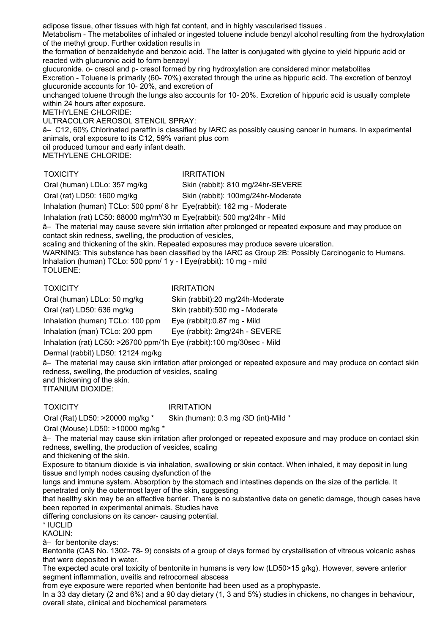adipose tissue, other tissues with high fat content, and in highly vascularised tissues .

Metabolism - The metabolites of inhaled or ingested toluene include benzyl alcohol resulting from the hydroxylation of the methyl group. Further oxidation results in

the formation of benzaldehyde and benzoic acid. The latter is conjugated with glycine to yield hippuric acid or reacted with glucuronic acid to form benzoyl

glucuronide. o- cresol and p- cresol formed by ring hydroxylation are considered minor metabolites Excretion - Toluene is primarily (60- 70%) excreted through the urine as hippuric acid. The excretion of benzoyl glucuronide accounts for 10- 20%, and excretion of

unchanged toluene through the lungs also accounts for 10- 20%. Excretion of hippuric acid is usually complete within 24 hours after exposure.

METHYLENE CHLORIDE:

ULTRACOLOR AEROSOL STENCIL SPRAY:

â– C12, 60% Chlorinated paraffin is classified by IARC as possibly causing cancer in humans. In experimental animals, oral exposure to its C12, 59% variant plus corn

oil produced tumour and early infant death.

METHYLENE CHLORIDE:

#### TOXICITY IRRITATION

Oral (human) LDLo: 357 mg/kg Skin (rabbit): 810 mg/24hr-SEVERE

Oral (rat) LD50: 1600 mg/kg Skin (rabbit): 100mg/24hr-Moderate

Inhalation (human) TCLo: 500 ppm/ 8 hr Eye(rabbit): 162 mg - Moderate

Inhalation (rat) LC50: 88000 mg/m³/30 m Eye(rabbit): 500 mg/24hr - Mild

â– The material may cause severe skin irritation after prolonged or repeated exposure and may produce on contact skin redness, swelling, the production of vesicles,

scaling and thickening of the skin. Repeated exposures may produce severe ulceration.

WARNING: This substance has been classified by the IARC as Group 2B: Possibly Carcinogenic to Humans. Inhalation (human) TCLo: 500 ppm/ 1 y - I Eye(rabbit): 10 mg - mild

TOLUENE:

#### TOXICITY IRRITATION

Oral (human) LDLo: 50 mg/kg Skin (rabbit):20 mg/24h-Moderate Oral (rat) LD50: 636 mg/kg Skin (rabbit):500 mg - Moderate Inhalation (human) TCLo: 100 ppm Eye (rabbit):0.87 mg - Mild Inhalation (man) TCLo: 200 ppm Eye (rabbit): 2mg/24h - SEVERE Inhalation (rat) LC50: >26700 ppm/1h Eye (rabbit):100 mg/30sec - Mild

Dermal (rabbit) LD50: 12124 mg/kg

â– The material may cause skin irritation after prolonged or repeated exposure and may produce on contact skin redness, swelling, the production of vesicles, scaling and thickening of the skin.

TITANIUM DIOXIDE:

TOXICITY **IRRITATION** 

Oral (Rat) LD50: >20000 mg/kg \* Skin (human): 0.3 mg /3D (int)-Mild \*

Oral (Mouse) LD50: >10000 mg/kg \*

â– The material may cause skin irritation after prolonged or repeated exposure and may produce on contact skin redness, swelling, the production of vesicles, scaling

and thickening of the skin.

Exposure to titanium dioxide is via inhalation, swallowing or skin contact. When inhaled, it may deposit in lung tissue and lymph nodes causing dysfunction of the

lungs and immune system. Absorption by the stomach and intestines depends on the size of the particle. It penetrated only the outermost layer of the skin, suggesting

that healthy skin may be an effective barrier. There is no substantive data on genetic damage, though cases have been reported in experimental animals. Studies have

differing conclusions on its cancer- causing potential.

\* IUCLID

KAOLIN:

â– for bentonite clays:

Bentonite (CAS No. 1302- 78- 9) consists of a group of clays formed by crystallisation of vitreous volcanic ashes that were deposited in water.

The expected acute oral toxicity of bentonite in humans is very low (LD50>15 g/kg). However, severe anterior segment inflammation, uveitis and retrocorneal abscess

from eye exposure were reported when bentonite had been used as a prophypaste.

In a 33 day dietary (2 and 6%) and a 90 day dietary (1, 3 and 5%) studies in chickens, no changes in behaviour, overall state, clinical and biochemical parameters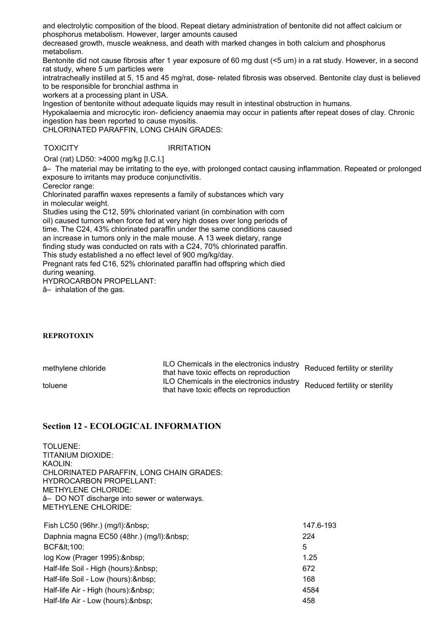and electrolytic composition of the blood. Repeat dietary administration of bentonite did not affect calcium or phosphorus metabolism. However, larger amounts caused

decreased growth, muscle weakness, and death with marked changes in both calcium and phosphorus metabolism.

Bentonite did not cause fibrosis after 1 year exposure of 60 mg dust (<5 um) in a rat study. However, in a second rat study, where 5 um particles were

intratracheally instilled at 5, 15 and 45 mg/rat, dose- related fibrosis was observed. Bentonite clay dust is believed to be responsible for bronchial asthma in

workers at a processing plant in USA.

Ingestion of bentonite without adequate liquids may result in intestinal obstruction in humans.

Hypokalaemia and microcytic iron- deficiency anaemia may occur in patients after repeat doses of clay. Chronic ingestion has been reported to cause myositis.

CHLORINATED PARAFFIN, LONG CHAIN GRADES:

TOXICITY IRRITATION

Oral (rat) LD50: >4000 mg/kg [I.C.I.]

â– The material may be irritating to the eye, with prolonged contact causing inflammation. Repeated or prolonged exposure to irritants may produce conjunctivitis.

Cereclor range:

Chlorinated paraffin waxes represents a family of substances which vary in molecular weight.

Studies using the C12, 59% chlorinated variant (in combination with corn oil) caused tumors when force fed at very high doses over long periods of time. The C24, 43% chlorinated paraffin under the same conditions caused an increase in tumors only in the male mouse. A 13 week dietary, range finding study was conducted on rats with a C24, 70% chlorinated paraffin. This study established a no effect level of 900 mg/kg/day.

Pregnant rats fed C16, 52% chlorinated paraffin had offspring which died during weaning.

HYDROCARBON PROPELLANT:

â– inhalation of the gas.

#### **REPROTOXIN**

methylene chloride ILO Chemicals in the electronics industry ILO Crienticals in the electronics mudstry<br>that have toxic effects on reproduction toluene ILO Chemicals in the electronics industry ILO Criemicals in the electronics industry Reduced fertility or sterility that have toxic effects on reproduction

**Section 12 - ECOLOGICAL INFORMATION**

TOLUENE: TITANIUM DIOXIDE: KAOLIN: CHLORINATED PARAFFIN, LONG CHAIN GRADES: HYDROCARBON PROPELLANT: METHYLENE CHLORIDE: â– DO NOT discharge into sewer or waterways. METHYLENE CHLORIDE:

| Fish LC50 (96hr.) (mg/l): & nbsp;      | 147.6-193 |
|----------------------------------------|-----------|
| Daphnia magna EC50 (48hr.) (mg/l):     | 224       |
| BCF&It:100:                            | 5         |
| log Kow (Prager 1995): & nbsp;         | 1.25      |
| Half-life Soil - High (hours): & nbsp; | 672       |
| Half-life Soil - Low (hours): & nbsp;  | 168       |
| Half-life Air - High (hours): & nbsp;  | 4584      |
| Half-life Air - Low (hours): & nbsp;   | 458       |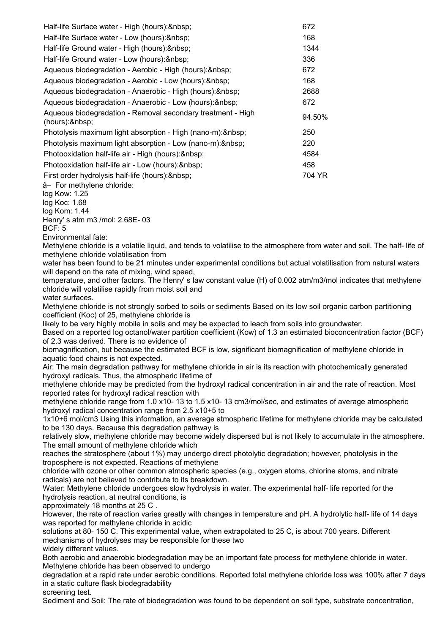| Half-life Surface water - High (hours): & nbsp;                                                                                                                     | 672    |
|---------------------------------------------------------------------------------------------------------------------------------------------------------------------|--------|
| Half-life Surface water - Low (hours):                                                                                                                              | 168    |
| Half-life Ground water - High (hours):                                                                                                                              | 1344   |
| Half-life Ground water - Low (hours):                                                                                                                               | 336    |
| Aqueous biodegradation - Aerobic - High (hours): & nbsp;                                                                                                            | 672    |
| Aqueous biodegradation - Aerobic - Low (hours): & nbsp;                                                                                                             | 168    |
| Aqueous biodegradation - Anaerobic - High (hours): & nbsp;                                                                                                          | 2688   |
| Aqueous biodegradation - Anaerobic - Low (hours): & nbsp;                                                                                                           | 672    |
| Aqueous biodegradation - Removal secondary treatment - High<br>(hours):                                                                                             | 94.50% |
| Photolysis maximum light absorption - High (nano-m):                                                                                                                | 250    |
| Photolysis maximum light absorption - Low (nano-m):                                                                                                                 | 220    |
| Photooxidation half-life air - High (hours):                                                                                                                        | 4584   |
| Photooxidation half-life air - Low (hours): & nbsp;                                                                                                                 | 458    |
| First order hydrolysis half-life (hours): & nbsp;                                                                                                                   | 704 YR |
| â- For methylene chloride:                                                                                                                                          |        |
| log Kow: 1.25                                                                                                                                                       |        |
| log Koc: 1.68<br>log Kom: 1.44                                                                                                                                      |        |
| Henry's atm m3 /mol: 2.68E-03                                                                                                                                       |        |
| <b>BCF: 5</b>                                                                                                                                                       |        |
| Environmental fate:                                                                                                                                                 |        |
| Methylene chloride is a volatile liquid, and tends to volatilise to the atmosphere from water and soil. The half- life of                                           |        |
| methylene chloride volatilisation from                                                                                                                              |        |
| water has been found to be 21 minutes under experimental conditions but actual volatilisation from natural waters<br>will depend on the rate of mixing, wind speed, |        |
| temperature, and other factors. The Henry's law constant value (H) of 0.002 atm/m3/mol indicates that methylene                                                     |        |
| chloride will volatilise rapidly from moist soil and                                                                                                                |        |

water surfaces.

Methylene chloride is not strongly sorbed to soils or sediments Based on its low soil organic carbon partitioning coefficient (Koc) of 25, methylene chloride is

likely to be very highly mobile in soils and may be expected to leach from soils into groundwater.

Based on a reported log octanol/water partition coefficient (Kow) of 1.3 an estimated bioconcentration factor (BCF) of 2.3 was derived. There is no evidence of

biomagnification, but because the estimated BCF is low, significant biomagnification of methylene chloride in aquatic food chains is not expected.

Air: The main degradation pathway for methylene chloride in air is its reaction with photochemically generated hydroxyl radicals. Thus, the atmospheric lifetime of

methylene chloride may be predicted from the hydroxyl radical concentration in air and the rate of reaction. Most reported rates for hydroxyl radical reaction with

methylene chloride range from 1.0 x10- 13 to 1.5 x10- 13 cm3/mol/sec, and estimates of average atmospheric hydroxyl radical concentration range from 2.5 x10+5 to

1x10+6 mol/cm3 Using this information, an average atmospheric lifetime for methylene chloride may be calculated to be 130 days. Because this degradation pathway is

relatively slow, methylene chloride may become widely dispersed but is not likely to accumulate in the atmosphere. The small amount of methylene chloride which

reaches the stratosphere (about 1%) may undergo direct photolytic degradation; however, photolysis in the troposphere is not expected. Reactions of methylene

chloride with ozone or other common atmospheric species (e.g., oxygen atoms, chlorine atoms, and nitrate radicals) are not believed to contribute to its breakdown.

Water: Methylene chloride undergoes slow hydrolysis in water. The experimental half- life reported for the hydrolysis reaction, at neutral conditions, is

approximately 18 months at 25 C .

However, the rate of reaction varies greatly with changes in temperature and pH. A hydrolytic half- life of 14 days was reported for methylene chloride in acidic

solutions at 80- 150 C. This experimental value, when extrapolated to 25 C, is about 700 years. Different mechanisms of hydrolyses may be responsible for these two widely different values.

Both aerobic and anaerobic biodegradation may be an important fate process for methylene chloride in water. Methylene chloride has been observed to undergo

degradation at a rapid rate under aerobic conditions. Reported total methylene chloride loss was 100% after 7 days in a static culture flask biodegradability

screening test.

Sediment and Soil: The rate of biodegradation was found to be dependent on soil type, substrate concentration,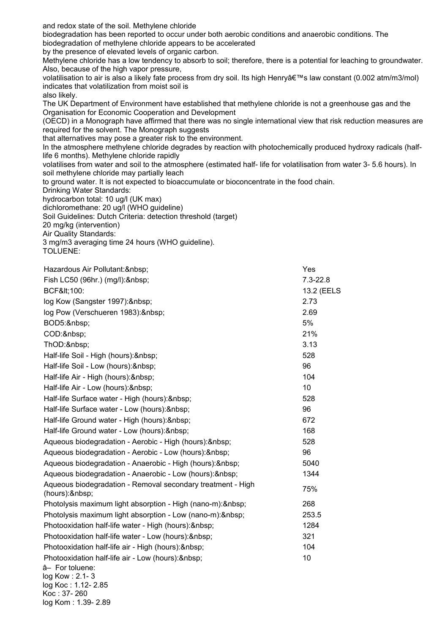and redox state of the soil. Methylene chloride biodegradation has been reported to occur under both aerobic conditions and anaerobic conditions. The biodegradation of methylene chloride appears to be accelerated by the presence of elevated levels of organic carbon. Methylene chloride has a low tendency to absorb to soil; therefore, there is a potential for leaching to groundwater. Also, because of the high vapor pressure, volatilisation to air is also a likely fate process from dry soil. Its high Henry's law constant (0.002 atm/m3/mol) indicates that volatilization from moist soil is also likely. The UK Department of Environment have established that methylene chloride is not a greenhouse gas and the Organisation for Economic Cooperation and Development (OECD) in a Monograph have affirmed that there was no single international view that risk reduction measures are required for the solvent. The Monograph suggests that alternatives may pose a greater risk to the environment. In the atmosphere methylene chloride degrades by reaction with photochemically produced hydroxy radicals (halflife 6 months). Methylene chloride rapidly volatilises from water and soil to the atmosphere (estimated half- life for volatilisation from water 3- 5.6 hours). In soil methylene chloride may partially leach to ground water. It is not expected to bioaccumulate or bioconcentrate in the food chain. Drinking Water Standards: hydrocarbon total: 10 ug/l (UK max) dichloromethane: 20 ug/l (WHO guideline) Soil Guidelines: Dutch Criteria: detection threshold (target) 20 mg/kg (intervention) Air Quality Standards: 3 mg/m3 averaging time 24 hours (WHO guideline). TOLUENE: Hazardous Air Pollutant: & nbsp; example and the set of the set of the set of the set of the set of the set of the set of the set of the set of the set of the set of the set of the set of the set of the set of the set of t Fish LC50 (96hr.) (mg/l): & nbsp; example 2.3-22.8 BCF<100: 13.2 (EELS log Kow (Sangster 1997): 2.73 log Pow (Verschueren 1983): 2.69 BOD5: 5% COD: 21% ThOD:&nbsp: 3.13 Half-life Soil - High (hours): & nbsp;<br>
528 Half-life Soil - Low (hours): & nbsp;<br>
96 Half-life Air - High (hours): & nbsp; example the state of the state of the 104 Half-life Air - Low (hours): & nbsp; example and the set of the set of the set of the set of the set of the set of the set of the set of the set of the set of the set of the set of the set of the set of the set of the set Half-life Surface water - High (hours): & nbsp;<br>
528 Half-life Surface water - Low (hours): & nbsp;<br>
96 Half-life Ground water - High (hours): & nbsp: example and the set of  $672$ Half-life Ground water - Low (hours): & nbsp:  $\frac{168}{168}$ Aqueous biodegradation - Aerobic - High (hours): & nbsp; 628 Aqueous biodegradation - Aerobic - Low (hours): & nbsp:  $\qquad \qquad$  96 Aqueous biodegradation - Anaerobic - High (hours): & nbsp; 6040 Aqueous biodegradation - Anaerobic - Low (hours): & nbsp: 1344 Aqueous biodegradation - Removal secondary treatment - High (hours): 75% Photolysis maximum light absorption - High (nano-m): 268 Photolysis maximum light absorption - Low (nano-m): & nbsp;  $253.5$ Photooxidation half-life water - High (hours): 1284 Photooxidation half-life water - Low (hours): & nbsp:  $\frac{321}{2}$ Photooxidation half-life air - High (hours): & nbsp; example and the state of the 104 Photooxidation half-life air - Low (hours): 10 â– For toluene:

log Kow : 2.1- 3 log Koc : 1.12- 2.85

Koc : 37- 260 log Kom : 1.39- 2.89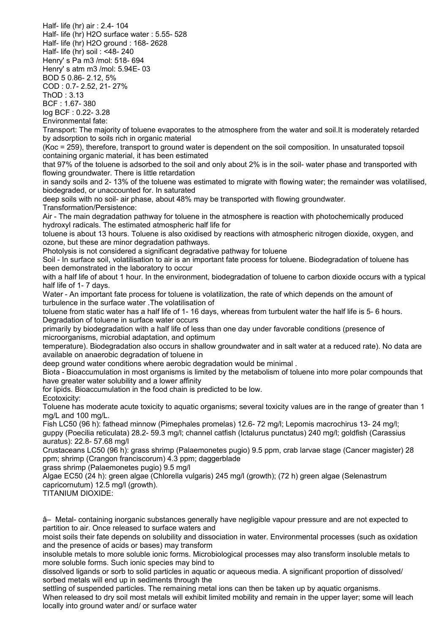Half- life (hr) air : 2.4- 104 Half- life (hr) H2O surface water : 5.55- 528 Half- life (hr) H2O ground : 168- 2628 Half- life (hr) soil : <48- 240 Henry' s Pa m3 /mol: 518- 694 Henry' s atm m3 /mol: 5.94E- 03 BOD 5 0.86- 2.12, 5% COD : 0.7- 2.52, 21- 27% ThOD : 3.13 BCF : 1.67- 380 log BCF : 0.22- 3.28 Environmental fate: Transport: The majority of toluene evaporates to the atmosphere from the water and soil.It is moderately retarded by adsorption to soils rich in organic material (Koc = 259), therefore, transport to ground water is dependent on the soil composition. In unsaturated topsoil containing organic material, it has been estimated that 97% of the toluene is adsorbed to the soil and only about 2% is in the soil- water phase and transported with flowing groundwater. There is little retardation in sandy soils and 2- 13% of the toluene was estimated to migrate with flowing water; the remainder was volatilised, biodegraded, or unaccounted for. In saturated deep soils with no soil- air phase, about 48% may be transported with flowing groundwater. Transformation/Persistence: Air - The main degradation pathway for toluene in the atmosphere is reaction with photochemically produced hydroxyl radicals. The estimated atmospheric half life for toluene is about 13 hours. Toluene is also oxidised by reactions with atmospheric nitrogen dioxide, oxygen, and ozone, but these are minor degradation pathways. Photolysis is not considered a significant degradative pathway for toluene Soil - In surface soil, volatilisation to air is an important fate process for toluene. Biodegradation of toluene has been demonstrated in the laboratory to occur with a half life of about 1 hour. In the environment, biodegradation of toluene to carbon dioxide occurs with a typical half life of 1- 7 days. Water - An important fate process for toluene is volatilization, the rate of which depends on the amount of turbulence in the surface water .The volatilisation of toluene from static water has a half life of 1- 16 days, whereas from turbulent water the half life is 5- 6 hours. Degradation of toluene in surface water occurs primarily by biodegradation with a half life of less than one day under favorable conditions (presence of microorganisms, microbial adaptation, and optimum temperature). Biodegradation also occurs in shallow groundwater and in salt water at a reduced rate). No data are available on anaerobic degradation of toluene in deep ground water conditions where aerobic degradation would be minimal . Biota - Bioaccumulation in most organisms is limited by the metabolism of toluene into more polar compounds that have greater water solubility and a lower affinity for lipids. Bioaccumulation in the food chain is predicted to be low. Ecotoxicity: Toluene has moderate acute toxicity to aquatic organisms; several toxicity values are in the range of greater than 1 mg/L and 100 mg/L. Fish LC50 (96 h): fathead minnow (Pimephales promelas) 12.6- 72 mg/l; Lepomis macrochirus 13- 24 mg/l;

guppy (Poecilia reticulata) 28.2- 59.3 mg/l; channel catfish (Ictalurus punctatus) 240 mg/l; goldfish (Carassius auratus): 22.8- 57.68 mg/l

Crustaceans LC50 (96 h): grass shrimp (Palaemonetes pugio) 9.5 ppm, crab larvae stage (Cancer magister) 28 ppm; shrimp (Crangon franciscorum) 4.3 ppm; daggerblade

grass shrimp (Palaemonetes pugio) 9.5 mg/l

Algae EC50 (24 h): green algae (Chlorella vulgaris) 245 mg/l (growth); (72 h) green algae (Selenastrum capricornutum) 12.5 mg/l (growth).

TITANIUM DIOXIDE:

â– Metal- containing inorganic substances generally have negligible vapour pressure and are not expected to partition to air. Once released to surface waters and

moist soils their fate depends on solubility and dissociation in water. Environmental processes (such as oxidation and the presence of acids or bases) may transform

insoluble metals to more soluble ionic forms. Microbiological processes may also transform insoluble metals to more soluble forms. Such ionic species may bind to

dissolved ligands or sorb to solid particles in aquatic or aqueous media. A significant proportion of dissolved/ sorbed metals will end up in sediments through the

settling of suspended particles. The remaining metal ions can then be taken up by aquatic organisms. When released to dry soil most metals will exhibit limited mobility and remain in the upper layer; some will leach locally into ground water and/ or surface water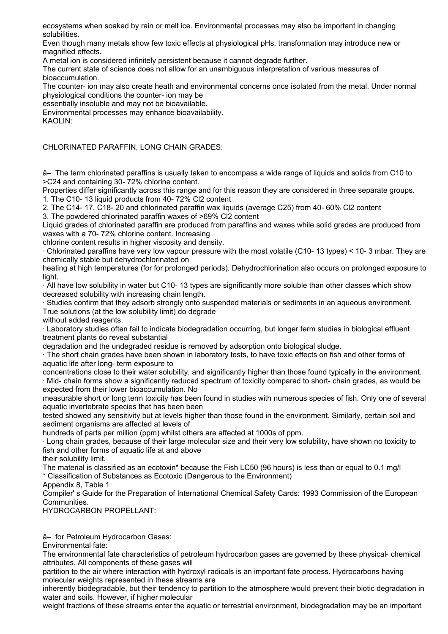ecosystems when soaked by rain or melt ice. Environmental processes may also be important in changing solubilities.

Even though many metals show few toxic effects at physiological pHs, transformation may introduce new or magnified effects.

A metal ion is considered infinitely persistent because it cannot degrade further.

The current state of science does not allow for an unambiguous interpretation of various measures of bioaccumulation.

The counter- ion may also create heath and environmental concerns once isolated from the metal. Under normal physiological conditions the counter- ion may be

essentially insoluble and may not be bioavailable.

Environmental processes may enhance bioavailability.

KAOLIN:

CHLORINATED PARAFFIN, LONG CHAIN GRADES:

â– The term chlorinated paraffins is usually taken to encompass a wide range of liquids and solids from C10 to >C24 and containing 30- 72% chlorine content.

Properties differ significantly across this range and for this reason they are considered in three separate groups. 1. The C10- 13 liquid products from 40- 72% Cl2 content

2. The C14- 17, C18- 20 and chlorinated paraffin wax liquids (average C25) from 40- 60% Cl2 content

3. The powdered chlorinated paraffin waxes of >69% Cl2 content

Liquid grades of chlorinated paraffin are produced from paraffins and waxes while solid grades are produced from waxes with a 70- 72% chlorine content. Increasing

chlorine content results in higher viscosity and density.

· Chlorinated paraffins have very low vapour pressure with the most volatile (C10- 13 types) < 10- 3 mbar. They are chemically stable but dehydrochlorinated on

heating at high temperatures (for for prolonged periods). Dehydrochlorination also occurs on prolonged exposure to light.

· All have low solubility in water but C10- 13 types are significantly more soluble than other classes which show decreased solubility with increasing chain length.

· Studies confirm that they adsorb strongly onto suspended materials or sediments in an aqueous environment. True solutions (at the low solubility limit) do degrade

without added reagents.

· Laboratory studies often fail to indicate biodegradation occurring, but longer term studies in biological effluent treatment plants do reveal substantial

degradation and the undegraded residue is removed by adsorption onto biological sludge.

· The short chain grades have been shown in laboratory tests, to have toxic effects on fish and other forms of aquatic life after long- term exposure to

concentrations close to their water solubility, and significantly higher than those found typically in the environment. · Mid- chain forms show a significantly reduced spectrum of toxicity compared to short- chain grades, as would be expected from their lower bioaccumulation. No

measurable short or long term toxicity has been found in studies with numerous species of fish. Only one of several aquatic invertebrate species that has been been

tested showed any sensitivity but at levels higher than those found in the environment. Similarly, certain soil and sediment organisms are affected at levels of

hundreds of parts per million (ppm) whilst others are affected at 1000s of ppm.

· Long chain grades, because of their large molecular size and their very low solubility, have shown no toxicity to fish and other forms of aquatic life at and above

their solubility limit.

The material is classified as an ecotoxin\* because the Fish LC50 (96 hours) is less than or equal to 0.1 mg/l \* Classification of Substances as Ecotoxic (Dangerous to the Environment)

Appendix 8, Table 1

Compiler' s Guide for the Preparation of International Chemical Safety Cards: 1993 Commission of the European Communities.

HYDROCARBON PROPELLANT:

â– for Petroleum Hydrocarbon Gases:

Environmental fate:

The environmental fate characteristics of petroleum hydrocarbon gases are governed by these physical- chemical attributes. All components of these gases will

partition to the air where interaction with hydroxyl radicals is an important fate process. Hydrocarbons having molecular weights represented in these streams are

inherently biodegradable, but their tendency to partition to the atmosphere would prevent their biotic degradation in water and soils. However, if higher molecular

weight fractions of these streams enter the aquatic or terrestrial environment, biodegradation may be an important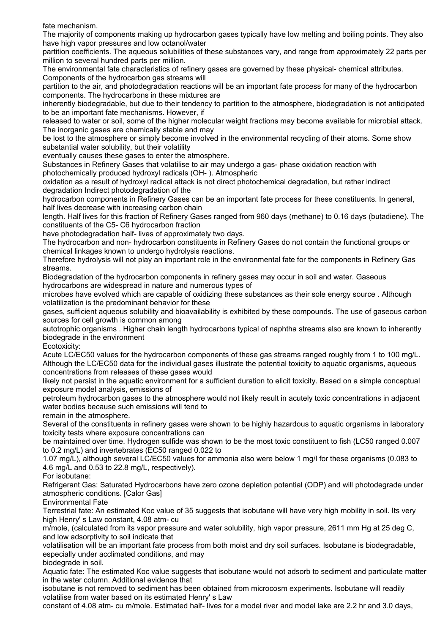fate mechanism.

The majority of components making up hydrocarbon gases typically have low melting and boiling points. They also have high vapor pressures and low octanol/water

partition coefficients. The aqueous solubilities of these substances vary, and range from approximately 22 parts per million to several hundred parts per million.

The environmental fate characteristics of refinery gases are governed by these physical- chemical attributes. Components of the hydrocarbon gas streams will

partition to the air, and photodegradation reactions will be an important fate process for many of the hydrocarbon components. The hydrocarbons in these mixtures are

inherently biodegradable, but due to their tendency to partition to the atmosphere, biodegradation is not anticipated to be an important fate mechanisms. However, if

released to water or soil, some of the higher molecular weight fractions may become available for microbial attack. The inorganic gases are chemically stable and may

be lost to the atmosphere or simply become involved in the environmental recycling of their atoms. Some show substantial water solubility, but their volatility

eventually causes these gases to enter the atmosphere.

Substances in Refinery Gases that volatilise to air may undergo a gas- phase oxidation reaction with photochemically produced hydroxyl radicals (OH- ). Atmospheric

oxidation as a result of hydroxyl radical attack is not direct photochemical degradation, but rather indirect degradation Indirect photodegradation of the

hydrocarbon components in Refinery Gases can be an important fate process for these constituents. In general, half lives decrease with increasing carbon chain

length. Half lives for this fraction of Refinery Gases ranged from 960 days (methane) to 0.16 days (butadiene). The constituents of the C5- C6 hydrocarbon fraction

have photodegradation half- lives of approximately two days.

The hydrocarbon and non- hydrocarbon constituents in Refinery Gases do not contain the functional groups or chemical linkages known to undergo hydrolysis reactions.

Therefore hydrolysis will not play an important role in the environmental fate for the components in Refinery Gas streams.

Biodegradation of the hydrocarbon components in refinery gases may occur in soil and water. Gaseous hydrocarbons are widespread in nature and numerous types of

microbes have evolved which are capable of oxidizing these substances as their sole energy source . Although volatilization is the predominant behavior for these

gases, sufficient aqueous solubility and bioavailability is exhibited by these compounds. The use of gaseous carbon sources for cell growth is common among

autotrophic organisms . Higher chain length hydrocarbons typical of naphtha streams also are known to inherently biodegrade in the environment

Ecotoxicity:

Acute LC/EC50 values for the hydrocarbon components of these gas streams ranged roughly from 1 to 100 mg/L. Although the LC/EC50 data for the individual gases illustrate the potential toxicity to aquatic organisms, aqueous concentrations from releases of these gases would

likely not persist in the aquatic environment for a sufficient duration to elicit toxicity. Based on a simple conceptual exposure model analysis, emissions of

petroleum hydrocarbon gases to the atmosphere would not likely result in acutely toxic concentrations in adjacent water bodies because such emissions will tend to

remain in the atmosphere.

Several of the constituents in refinery gases were shown to be highly hazardous to aquatic organisms in laboratory toxicity tests where exposure concentrations can

be maintained over time. Hydrogen sulfide was shown to be the most toxic constituent to fish (LC50 ranged 0.007 to 0.2 mg/L) and invertebrates (EC50 ranged 0.022 to

1.07 mg/L), although several LC/EC50 values for ammonia also were below 1 mg/l for these organisms (0.083 to 4.6 mg/L and 0.53 to 22.8 mg/L, respectively).

For isobutane:

Refrigerant Gas: Saturated Hydrocarbons have zero ozone depletion potential (ODP) and will photodegrade under atmospheric conditions. [Calor Gas]

Environmental Fate

Terrestrial fate: An estimated Koc value of 35 suggests that isobutane will have very high mobility in soil. Its very high Henry' s Law constant, 4.08 atm- cu

m/mole, (calculated from its vapor pressure and water solubility, high vapor pressure, 2611 mm Hg at 25 deg C, and low adsorptivity to soil indicate that

volatilisation will be an important fate process from both moist and dry soil surfaces. Isobutane is biodegradable, especially under acclimated conditions, and may

biodegrade in soil.

Aquatic fate: The estimated Koc value suggests that isobutane would not adsorb to sediment and particulate matter in the water column. Additional evidence that

isobutane is not removed to sediment has been obtained from microcosm experiments. Isobutane will readily volatilise from water based on its estimated Henry' s Law

constant of 4.08 atm- cu m/mole. Estimated half- lives for a model river and model lake are 2.2 hr and 3.0 days,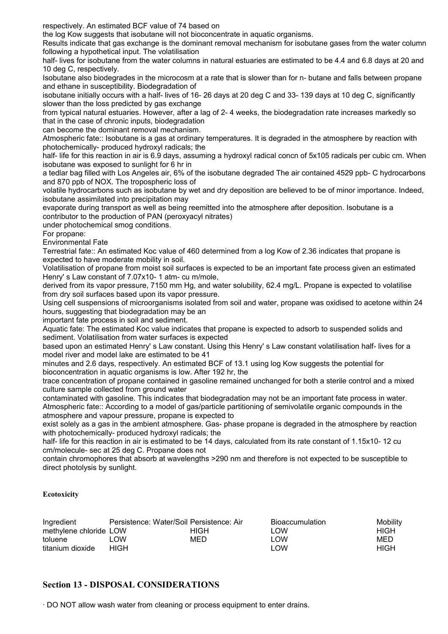respectively. An estimated BCF value of 74 based on

the log Kow suggests that isobutane will not bioconcentrate in aquatic organisms.

Results indicate that gas exchange is the dominant removal mechanism for isobutane gases from the water column following a hypothetical input. The volatilisation

half- lives for isobutane from the water columns in natural estuaries are estimated to be 4.4 and 6.8 days at 20 and 10 deg C, respectively.

Isobutane also biodegrades in the microcosm at a rate that is slower than for n- butane and falls between propane and ethane in susceptibility. Biodegradation of

isobutane initially occurs with a half- lives of 16- 26 days at 20 deg C and 33- 139 days at 10 deg C, significantly slower than the loss predicted by gas exchange

from typical natural estuaries. However, after a lag of 2- 4 weeks, the biodegradation rate increases markedly so that in the case of chronic inputs, biodegradation

can become the dominant removal mechanism.

Atmospheric fate:: Isobutane is a gas at ordinary temperatures. It is degraded in the atmosphere by reaction with photochemically- produced hydroxyl radicals; the

half- life for this reaction in air is 6.9 days, assuming a hydroxyl radical concn of 5x105 radicals per cubic cm. When isobutane was exposed to sunlight for 6 hr in

a tedlar bag filled with Los Angeles air, 6% of the isobutane degraded The air contained 4529 ppb- C hydrocarbons and 870 ppb of NOX. The tropospheric loss of

volatile hydrocarbons such as isobutane by wet and dry deposition are believed to be of minor importance. Indeed, isobutane assimilated into precipitation may

evaporate during transport as well as being reemitted into the atmosphere after deposition. Isobutane is a contributor to the production of PAN (peroxyacyl nitrates)

under photochemical smog conditions.

For propane:

Environmental Fate

Terrestrial fate:: An estimated Koc value of 460 determined from a log Kow of 2.36 indicates that propane is expected to have moderate mobility in soil.

Volatilisation of propane from moist soil surfaces is expected to be an important fate process given an estimated Henry' s Law constant of 7.07x10- 1 atm- cu m/mole,

derived from its vapor pressure, 7150 mm Hg, and water solubility, 62.4 mg/L. Propane is expected to volatilise from dry soil surfaces based upon its vapor pressure.

Using cell suspensions of microorganisms isolated from soil and water, propane was oxidised to acetone within 24 hours, suggesting that biodegradation may be an

important fate process in soil and sediment.

Aquatic fate: The estimated Koc value indicates that propane is expected to adsorb to suspended solids and sediment. Volatilisation from water surfaces is expected

based upon an estimated Henry' s Law constant. Using this Henry' s Law constant volatilisation half- lives for a model river and model lake are estimated to be 41

minutes and 2.6 days, respectively. An estimated BCF of 13.1 using log Kow suggests the potential for bioconcentration in aquatic organisms is low. After 192 hr, the

trace concentration of propane contained in gasoline remained unchanged for both a sterile control and a mixed culture sample collected from ground water

contaminated with gasoline. This indicates that biodegradation may not be an important fate process in water. Atmospheric fate:: According to a model of gas/particle partitioning of semivolatile organic compounds in the atmosphere and vapour pressure, propane is expected to

exist solely as a gas in the ambient atmosphere. Gas- phase propane is degraded in the atmosphere by reaction with photochemically- produced hydroxyl radicals; the

half- life for this reaction in air is estimated to be 14 days, calculated from its rate constant of 1.15x10- 12 cu cm/molecule- sec at 25 deg C. Propane does not

contain chromophores that absorb at wavelengths >290 nm and therefore is not expected to be susceptible to direct photolysis by sunlight.

#### **Ecotoxicity**

| Ingredient             | Persistence: Water/Soil Persistence: Air |      | <b>Bioaccumulation</b> | Mobility |
|------------------------|------------------------------------------|------|------------------------|----------|
| methylene chloride LOW |                                          | HIGH | LOW                    | HIGH     |
| toluene                | LOW.                                     | MED  | . OW                   | MED      |
| titanium dioxide       | HIGH                                     |      | <b>OW</b>              | HIGH     |

# **Section 13 - DISPOSAL CONSIDERATIONS**

· DO NOT allow wash water from cleaning or process equipment to enter drains.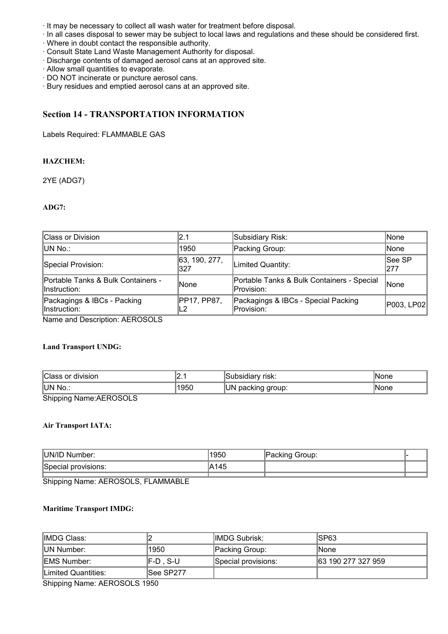- · It may be necessary to collect all wash water for treatment before disposal.
- · In all cases disposal to sewer may be subject to local laws and regulations and these should be considered first.
- · Where in doubt contact the responsible authority.
- · Consult State Land Waste Management Authority for disposal.
- · Discharge contents of damaged aerosol cans at an approved site.
- · Allow small quantities to evaporate.
- · DO NOT incinerate or puncture aerosol cans.
- · Bury residues and emptied aerosol cans at an approved site.

# **Section 14 - TRANSPORTATION INFORMATION**

Labels Required: FLAMMABLE GAS

#### **HAZCHEM:**

2YE (ADG7)

#### **ADG7:**

| Class or Division                                              | 2.1                  | Subsidiary Risk:                                         | None                 |
|----------------------------------------------------------------|----------------------|----------------------------------------------------------|----------------------|
| IUN No.:                                                       | 1950                 | Packing Group:                                           | None                 |
| Special Provision:                                             | 63, 190, 277,<br>327 | Limited Quantity:                                        | <b>See SP</b><br>277 |
| <b>Portable Tanks &amp; Bulk Containers -</b><br>linstruction: | None                 | Portable Tanks & Bulk Containers - Special<br>Provision: | <b>None</b>          |
| Packagings & IBCs - Packing<br>lnstruction:                    | PP17, PP87,          | Packagings & IBCs - Special Packing<br>Provision:        | P003, LP02           |

Name and Description: AEROSOLS

#### **Land Transport UNDG:**

| Class or division              | .    | ∵risk:<br>Subsidiarv | None |
|--------------------------------|------|----------------------|------|
| UN No.:                        | 1950 | UN<br>packing group: | None |
| $Chinning$ $Nomo:$ $REDO$ $CI$ |      |                      |      |

Shipping Name:AEROSOLS

#### **Air Transport IATA:**

| UN/ID<br>Number:    | 1950   | `roup.<br>. |  |
|---------------------|--------|-------------|--|
| Special provisions: | A<br>. |             |  |
|                     |        |             |  |

Shipping Name: AEROSOLS, FLAMMABLE

#### **Maritime Transport IMDG:**

| IIMDG Class:                                                                                                                  |           | <b>IIMDG Subrisk:</b> | ISP63              |
|-------------------------------------------------------------------------------------------------------------------------------|-----------|-----------------------|--------------------|
| <b>IUN Number:</b>                                                                                                            | 1950      | Packing Group:        | lNone              |
| IEMS Number:                                                                                                                  | IF-D.S-U  | Special provisions:   | 63 190 277 327 959 |
| Limited Quantities:                                                                                                           | See SP277 |                       |                    |
| $Q_1$ , $Q_2$ , $Q_3$ , $Q_4$ , $Q_5$ , $Q_6$ , $Q_7$ , $Q_8$ , $Q_9$ , $Q_9$ , $Q_9$ , $Q_9$ , $Q_9$ , $Q_9$ , $Q_9$ , $Q_9$ |           |                       |                    |

Shipping Name: AEROSOLS 1950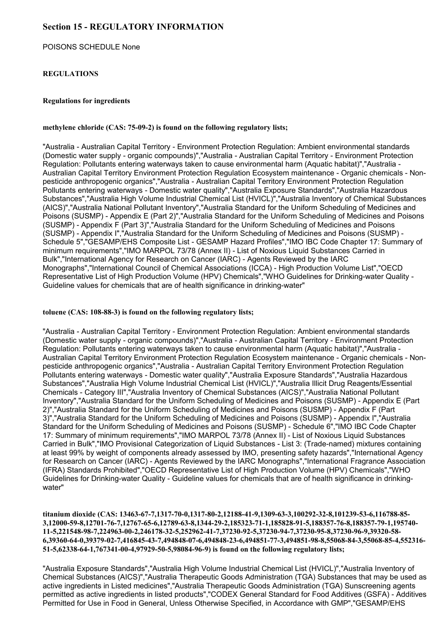# **Section 15 - REGULATORY INFORMATION**

POISONS SCHEDULE None

#### **REGULATIONS**

#### **Regulations for ingredients**

#### **methylene chloride (CAS: 75-09-2) is found on the following regulatory lists;**

"Australia - Australian Capital Territory - Environment Protection Regulation: Ambient environmental standards (Domestic water supply - organic compounds)","Australia - Australian Capital Territory - Environment Protection Regulation: Pollutants entering waterways taken to cause environmental harm (Aquatic habitat)","Australia - Australian Capital Territory Environment Protection Regulation Ecosystem maintenance - Organic chemicals - Nonpesticide anthropogenic organics","Australia - Australian Capital Territory Environment Protection Regulation Pollutants entering waterways - Domestic water quality","Australia Exposure Standards","Australia Hazardous Substances","Australia High Volume Industrial Chemical List (HVICL)","Australia Inventory of Chemical Substances (AICS)","Australia National Pollutant Inventory","Australia Standard for the Uniform Scheduling of Medicines and Poisons (SUSMP) - Appendix E (Part 2)","Australia Standard for the Uniform Scheduling of Medicines and Poisons (SUSMP) - Appendix F (Part 3)","Australia Standard for the Uniform Scheduling of Medicines and Poisons (SUSMP) - Appendix I","Australia Standard for the Uniform Scheduling of Medicines and Poisons (SUSMP) - Schedule 5","GESAMP/EHS Composite List - GESAMP Hazard Profiles","IMO IBC Code Chapter 17: Summary of minimum requirements","IMO MARPOL 73/78 (Annex II) - List of Noxious Liquid Substances Carried in Bulk","International Agency for Research on Cancer (IARC) - Agents Reviewed by the IARC Monographs","International Council of Chemical Associations (ICCA) - High Production Volume List","OECD Representative List of High Production Volume (HPV) Chemicals","WHO Guidelines for Drinking-water Quality - Guideline values for chemicals that are of health significance in drinking-water"

#### **toluene (CAS: 108-88-3) is found on the following regulatory lists;**

"Australia - Australian Capital Territory - Environment Protection Regulation: Ambient environmental standards (Domestic water supply - organic compounds)","Australia - Australian Capital Territory - Environment Protection Regulation: Pollutants entering waterways taken to cause environmental harm (Aquatic habitat)","Australia - Australian Capital Territory Environment Protection Regulation Ecosystem maintenance - Organic chemicals - Nonpesticide anthropogenic organics","Australia - Australian Capital Territory Environment Protection Regulation Pollutants entering waterways - Domestic water quality","Australia Exposure Standards","Australia Hazardous Substances","Australia High Volume Industrial Chemical List (HVICL)","Australia Illicit Drug Reagents/Essential Chemicals - Category III","Australia Inventory of Chemical Substances (AICS)","Australia National Pollutant Inventory","Australia Standard for the Uniform Scheduling of Medicines and Poisons (SUSMP) - Appendix E (Part 2)","Australia Standard for the Uniform Scheduling of Medicines and Poisons (SUSMP) - Appendix F (Part 3)","Australia Standard for the Uniform Scheduling of Medicines and Poisons (SUSMP) - Appendix I","Australia Standard for the Uniform Scheduling of Medicines and Poisons (SUSMP) - Schedule 6","IMO IBC Code Chapter 17: Summary of minimum requirements","IMO MARPOL 73/78 (Annex II) - List of Noxious Liquid Substances Carried in Bulk","IMO Provisional Categorization of Liquid Substances - List 3: (Trade-named) mixtures containing at least 99% by weight of components already assessed by IMO, presenting safety hazards","International Agency for Research on Cancer (IARC) - Agents Reviewed by the IARC Monographs","International Fragrance Association (IFRA) Standards Prohibited","OECD Representative List of High Production Volume (HPV) Chemicals","WHO Guidelines for Drinking-water Quality - Guideline values for chemicals that are of health significance in drinkingwater"

**titanium dioxide (CAS: 13463-67-7,1317-70-0,1317-80-2,12188-41-9,1309-63-3,100292-32-8,101239-53-6,116788-85- 3,12000-59-8,12701-76-7,12767-65-6,12789-63-8,1344-29-2,185323-71-1,185828-91-5,188357-76-8,188357-79-1,195740- 11-5,221548-98-7,224963-00-2,246178-32-5,252962-41-7,37230-92-5,37230-94-7,37230-95-8,37230-96-9,39320-58- 6,39360-64-0,39379-02-7,416845-43-7,494848-07-6,494848-23-6,494851-77-3,494851-98-8,55068-84-3,55068-85-4,552316- 51-5,62338-64-1,767341-00-4,97929-50-5,98084-96-9) is found on the following regulatory lists;**

"Australia Exposure Standards","Australia High Volume Industrial Chemical List (HVICL)","Australia Inventory of Chemical Substances (AICS)","Australia Therapeutic Goods Administration (TGA) Substances that may be used as active ingredients in Listed medicines","Australia Therapeutic Goods Administration (TGA) Sunscreening agents permitted as active ingredients in listed products","CODEX General Standard for Food Additives (GSFA) - Additives Permitted for Use in Food in General, Unless Otherwise Specified, in Accordance with GMP","GESAMP/EHS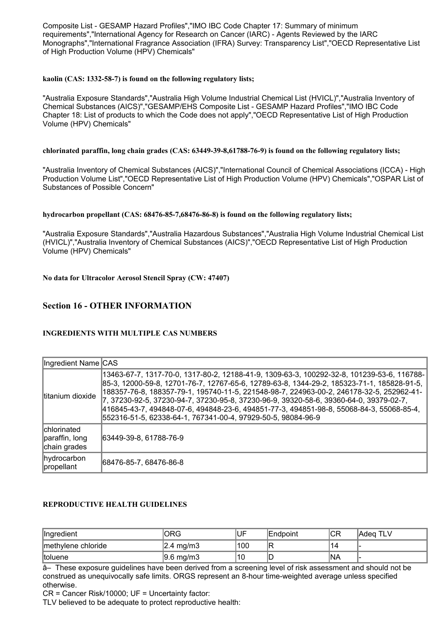Composite List - GESAMP Hazard Profiles","IMO IBC Code Chapter 17: Summary of minimum requirements","International Agency for Research on Cancer (IARC) - Agents Reviewed by the IARC Monographs","International Fragrance Association (IFRA) Survey: Transparency List","OECD Representative List of High Production Volume (HPV) Chemicals"

#### **kaolin (CAS: 1332-58-7) is found on the following regulatory lists;**

"Australia Exposure Standards","Australia High Volume Industrial Chemical List (HVICL)","Australia Inventory of Chemical Substances (AICS)","GESAMP/EHS Composite List - GESAMP Hazard Profiles","IMO IBC Code Chapter 18: List of products to which the Code does not apply","OECD Representative List of High Production Volume (HPV) Chemicals"

#### **chlorinated paraffin, long chain grades (CAS: 63449-39-8,61788-76-9) is found on the following regulatory lists;**

"Australia Inventory of Chemical Substances (AICS)","International Council of Chemical Associations (ICCA) - High Production Volume List","OECD Representative List of High Production Volume (HPV) Chemicals","OSPAR List of Substances of Possible Concern"

#### **hydrocarbon propellant (CAS: 68476-85-7,68476-86-8) is found on the following regulatory lists;**

"Australia Exposure Standards","Australia Hazardous Substances","Australia High Volume Industrial Chemical List (HVICL)","Australia Inventory of Chemical Substances (AICS)","OECD Representative List of High Production Volume (HPV) Chemicals"

**No data for Ultracolor Aerosol Stencil Spray (CW: 47407)**

# **Section 16 - OTHER INFORMATION**

#### **INGREDIENTS WITH MULTIPLE CAS NUMBERS**

| Ingredient Name CAS                                  |                                                                                                                                                                                                                                                                                                                                                                                                                                                                                                                                            |
|------------------------------------------------------|--------------------------------------------------------------------------------------------------------------------------------------------------------------------------------------------------------------------------------------------------------------------------------------------------------------------------------------------------------------------------------------------------------------------------------------------------------------------------------------------------------------------------------------------|
| Ititanium dioxide                                    | 13463-67-7, 1317-70-0, 1317-80-2, 12188-41-9, 1309-63-3, 100292-32-8, 101239-53-6, 116788-<br>85-3, 12000-59-8, 12701-76-7, 12767-65-6, 12789-63-8, 1344-29-2, 185323-71-1, 185828-91-5,<br>188357-76-8, 188357-79-1, 195740-11-5, 221548-98-7, 224963-00-2, 246178-32-5, 252962-41-<br>7, 37230-92-5, 37230-94-7, 37230-95-8, 37230-96-9, 39320-58-6, 39360-64-0, 39379-02-7,<br>416845-43-7, 494848-07-6, 494848-23-6, 494851-77-3, 494851-98-8, 55068-84-3, 55068-85-4,<br>552316-51-5, 62338-64-1, 767341-00-4, 97929-50-5, 98084-96-9 |
| <b>chlorinated</b><br>paraffin, long<br>chain grades | 63449-39-8, 61788-76-9                                                                                                                                                                                                                                                                                                                                                                                                                                                                                                                     |
| hydrocarbon<br>propellant                            | 68476-85-7, 68476-86-8                                                                                                                                                                                                                                                                                                                                                                                                                                                                                                                     |

#### **REPRODUCTIVE HEALTH GUIDELINES**

| Ingredient         | ORG                   | ,UF | IEndpoint | ICR        | TLV<br>Adea. |
|--------------------|-----------------------|-----|-----------|------------|--------------|
| methylene chloride | $ 2.4 \text{ mg/m3} $ | 100 | IR        | и          |              |
| Itoluene           | $ 9.6 \text{ mg/m}$   | '10 | ID        | <b>INA</b> |              |

â– These exposure guidelines have been derived from a screening level of risk assessment and should not be construed as unequivocally safe limits. ORGS represent an 8-hour time-weighted average unless specified otherwise.

CR = Cancer Risk/10000; UF = Uncertainty factor:

TLV believed to be adequate to protect reproductive health: